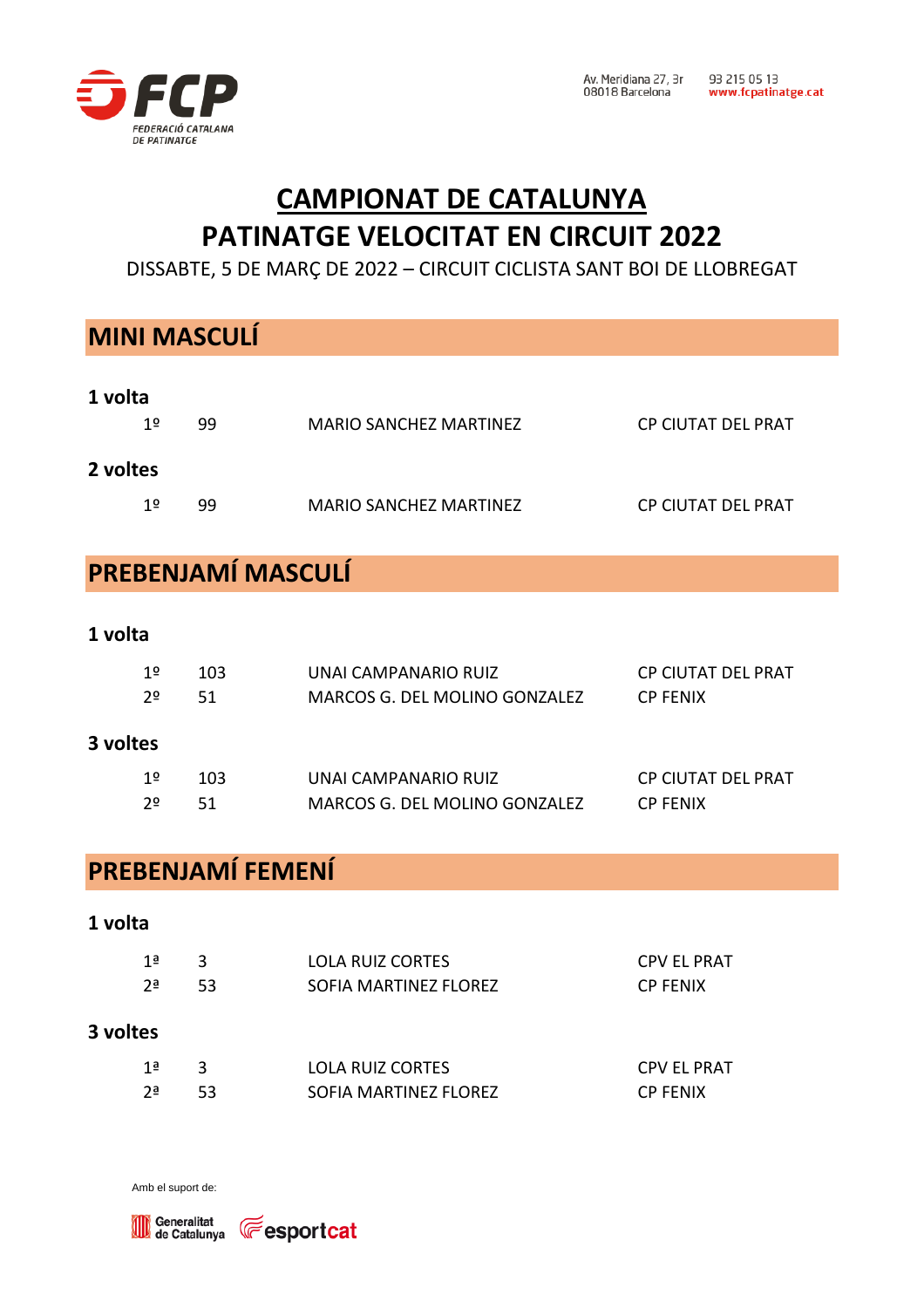

# **CAMPIONAT DE CATALUNYA PATINATGE VELOCITAT EN CIRCUIT 2022**

DISSABTE, 5 DE MARÇ DE 2022 – CIRCUIT CICLISTA SANT BOI DE LLOBREGAT

# **MINI MASCULÍ 1 volta**

| 1º       | 99 | MARIO SANCHEZ MARTINEZ | <b>CP CIUTAT DEL PRAT</b> |
|----------|----|------------------------|---------------------------|
| 2 voltes |    |                        |                           |
| 1≌       | 99 | MARIO SANCHEZ MARTINEZ | CP CIUTAT DEL PRAT        |

### **PREBENJAMÍ MASCULÍ**

#### **1 volta**

| 3 voltes |     |                               |                    |
|----------|-----|-------------------------------|--------------------|
| 2≗       | 51  | MARCOS G. DEL MOLINO GONZALEZ | <b>CP FENIX</b>    |
| 1≌       | 103 | UNAI CAMPANARIO RUIZ          | CP CIUTAT DEL PRAT |
|          |     |                               |                    |

| 1º | -103- | UNAI CAMPANARIO RUIZ          | CP CIUTAT DEL PRAT |
|----|-------|-------------------------------|--------------------|
| 2º | -51   | MARCOS G. DEL MOLINO GONZALEZ | <b>CP FENIX</b>    |

### **PREBENJAMÍ FEMENÍ**

# **1 volta** 1ª 3 LOLA RUIZ CORTES CPV EL PRAT 2ª 53 SOFIA MARTINEZ FLOREZ CP FENIX **3 voltes** 1ª 3 LOLA RUIZ CORTES CPV EL PRAT 2ª 53 SOFIA MARTINEZ FLOREZ CP FENIX

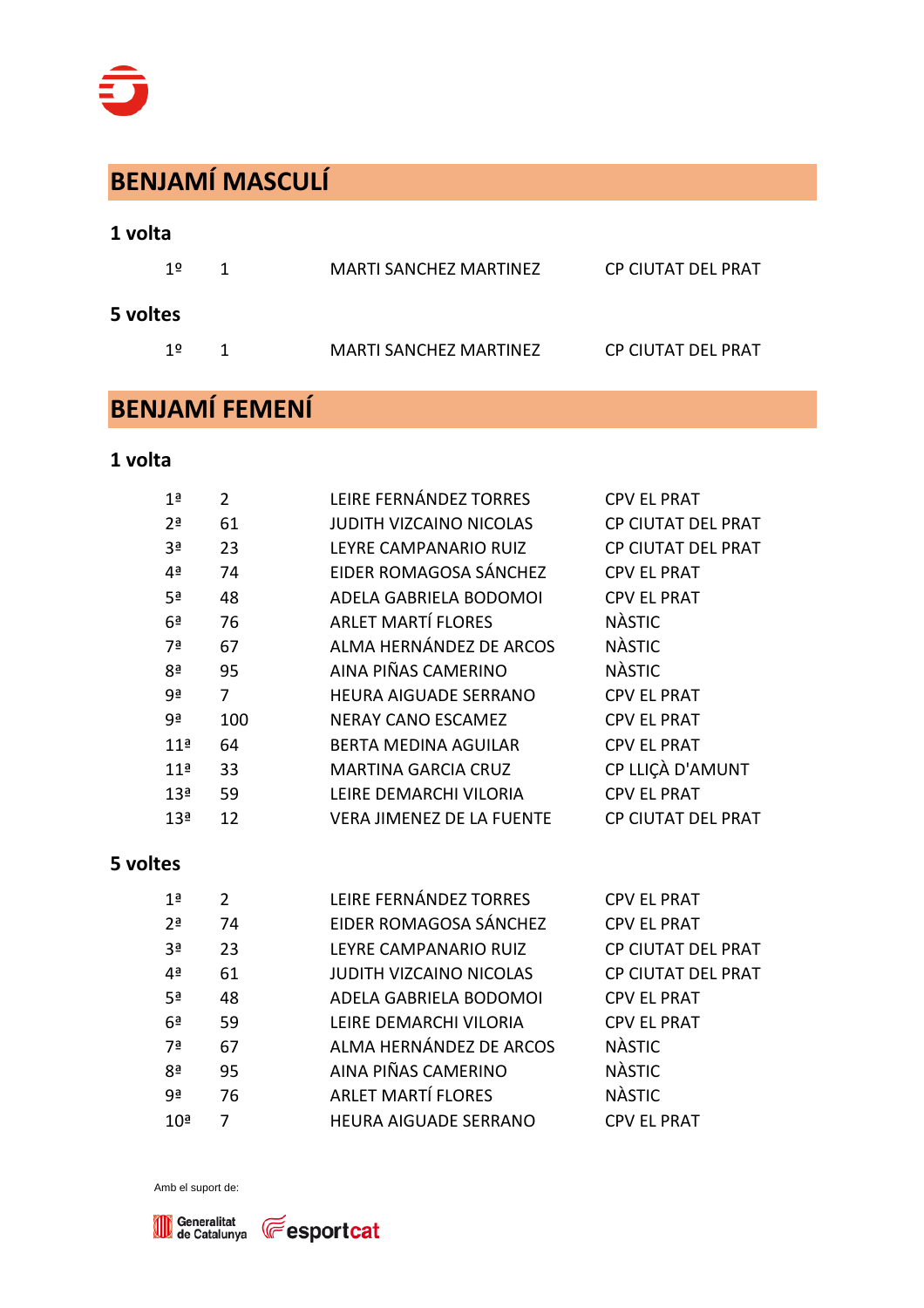# **BENJAMÍ MASCULÍ**

#### **1 volta**

| 1≌       | 1. | MARTI SANCHEZ MARTINEZ        | CP CIUTAT DEL PRAT |
|----------|----|-------------------------------|--------------------|
| 5 voltes |    |                               |                    |
| 12       | 1. | <b>MARTI SANCHEZ MARTINEZ</b> | CP CIUTAT DEL PRAT |

# **BENJAMÍ FEMENÍ**

#### **1 volta**

| 1ª              | $\overline{2}$ | LEIRE FERNÁNDEZ TORRES           | <b>CPV EL PRAT</b>        |
|-----------------|----------------|----------------------------------|---------------------------|
| 2 <sup>a</sup>  | 61             | <b>JUDITH VIZCAINO NICOLAS</b>   | <b>CP CIUTAT DEL PRAT</b> |
| 3 <sup>a</sup>  | 23             | LEYRE CAMPANARIO RUIZ            | <b>CP CIUTAT DEL PRAT</b> |
| 4 <sup>a</sup>  | 74             | EIDER ROMAGOSA SÁNCHEZ           | <b>CPV EL PRAT</b>        |
| 5 <sup>a</sup>  | 48             | ADELA GABRIELA BODOMOI           | <b>CPV EL PRAT</b>        |
| 6 <sup>a</sup>  | 76             | <b>ARLET MARTÍ FLORES</b>        | <b>NÀSTIC</b>             |
| 7ª              | 67             | ALMA HERNÁNDEZ DE ARCOS          | <b>NÀSTIC</b>             |
| 8ª              | 95             | AINA PIÑAS CAMERINO              | <b>NÀSTIC</b>             |
| 9ª              | 7              | <b>HEURA AIGUADE SERRANO</b>     | <b>CPV EL PRAT</b>        |
| gª              | 100            | <b>NERAY CANO ESCAMEZ</b>        | <b>CPV EL PRAT</b>        |
| 11 <sup>a</sup> | 64             | <b>BERTA MEDINA AGUILAR</b>      | <b>CPV EL PRAT</b>        |
| 11 <sup>a</sup> | 33             | <b>MARTINA GARCIA CRUZ</b>       | CP LLIÇÀ D'AMUNT          |
| 13 <sup>a</sup> | 59             | LEIRE DEMARCHI VILORIA           | <b>CPV EL PRAT</b>        |
| 13 <sup>a</sup> | 12             | <b>VERA JIMENEZ DE LA FUENTE</b> | <b>CP CIUTAT DEL PRAT</b> |

#### **5 voltes**

| 1 <sup>a</sup>  | $\mathcal{P}$ | LEIRE FERNÁNDEZ TORRES       | <b>CPV EL PRAT</b>        |
|-----------------|---------------|------------------------------|---------------------------|
| 2 <sup>a</sup>  | 74            | EIDER ROMAGOSA SÁNCHEZ       | <b>CPV EL PRAT</b>        |
| 3 <sup>a</sup>  | 23            | LEYRE CAMPANARIO RUIZ        | CP CIUTAT DEL PRAT        |
| 4 <sup>a</sup>  | 61            | JUDITH VIZCAINO NICOLAS      | <b>CP CIUTAT DEL PRAT</b> |
| 5 <sup>a</sup>  | 48            | ADELA GABRIELA BODOMOI       | <b>CPV EL PRAT</b>        |
| 6 <sup>a</sup>  | 59            | LEIRE DEMARCHI VILORIA       | <b>CPV EL PRAT</b>        |
| 7ª              | 67            | ALMA HERNÁNDEZ DE ARCOS      | <b>NÀSTIC</b>             |
| 8ª              | 95            | AINA PIÑAS CAMERINO          | <b>NÀSTIC</b>             |
| 9ª              | 76            | <b>ARLET MARTÍ FLORES</b>    | <b>NÀSTIC</b>             |
| 10 <sup>a</sup> |               | <b>HEURA AIGUADE SERRANO</b> | <b>CPV EL PRAT</b>        |



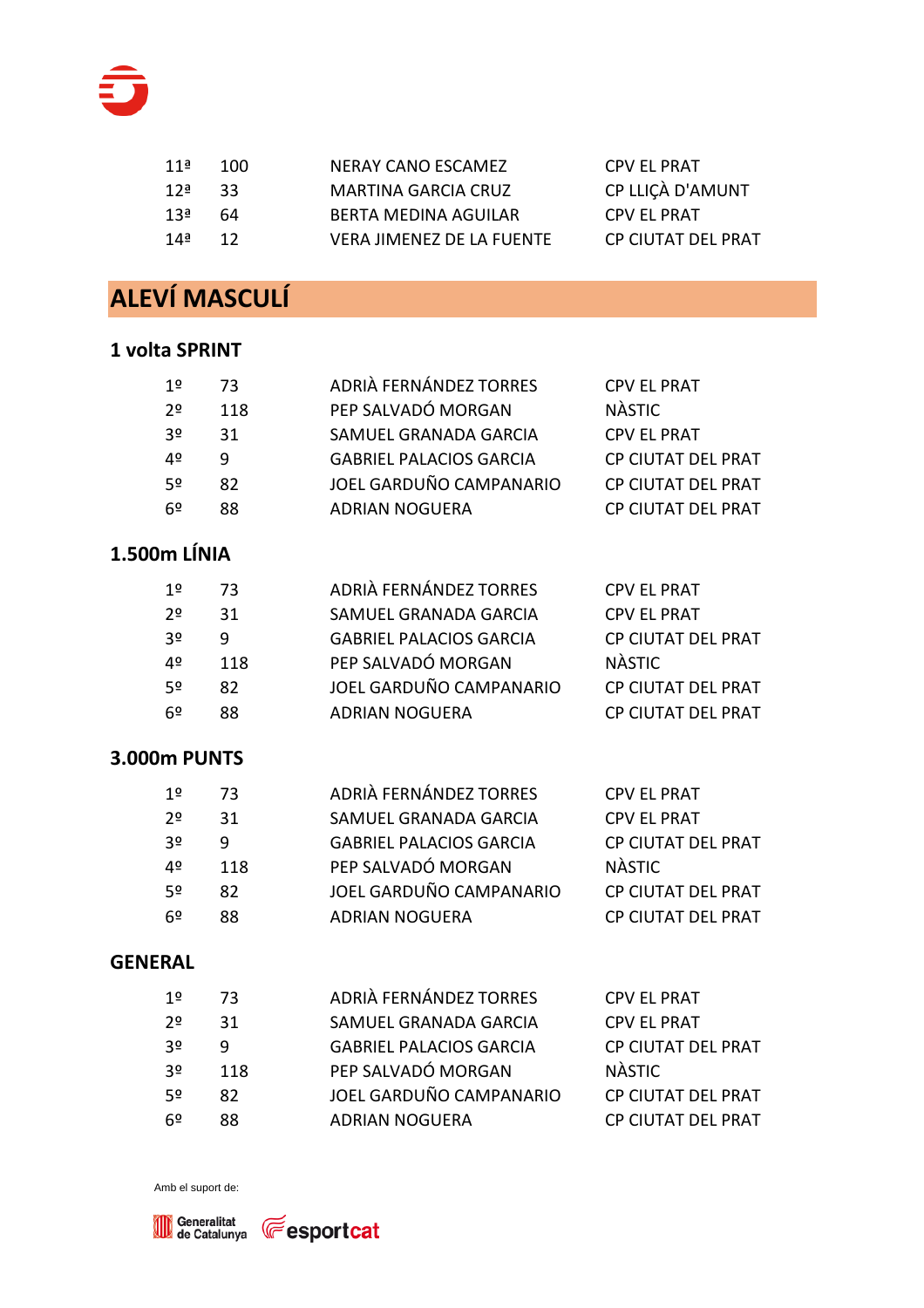

| 11ª | 100 | NERAY CANO ESCAMEZ        | CPV EL PRAT        |
|-----|-----|---------------------------|--------------------|
| 12ª | २२  | MARTINA GARCIA CRUZ       | CP LLICÀ D'AMUNT   |
| 13ª | 64  | BERTA MEDINA AGUILAR      | CPV EL PRAT        |
| 14ª | 12  | VERA JIMENEZ DE LA FUENTE | CP CIUTAT DEL PRAT |

# **ALEVÍ MASCULÍ**

#### **1 volta SPRINT**

| 1º             | 73  | ADRIÀ FERNÁNDEZ TORRES         | <b>CPV EL PRAT</b>        |
|----------------|-----|--------------------------------|---------------------------|
| 20             | 118 | PEP SALVADÓ MORGAN             | <b>NÀSTIC</b>             |
| 3 <sup>o</sup> | 31  | SAMUEL GRANADA GARCIA          | <b>CPV EL PRAT</b>        |
| 4º             | q   | <b>GABRIEL PALACIOS GARCIA</b> | <b>CP CIUTAT DEL PRAT</b> |
| 52             | 82  | JOEL GARDUÑO CAMPANARIO        | CP CIUTAT DEL PRAT        |
| 6º             | 88  | <b>ADRIAN NOGUERA</b>          | CP CIUTAT DEL PRAT        |
|                |     |                                |                           |

### **1.500m LÍNIA**

| 1º | 73  | ADRIÀ FERNÁNDEZ TORRES         | <b>CPV EL PRAT</b> |
|----|-----|--------------------------------|--------------------|
| 22 | 31  | SAMUEL GRANADA GARCIA          | <b>CPV EL PRAT</b> |
| 30 | q   | <b>GABRIEL PALACIOS GARCIA</b> | CP CIUTAT DEL PRAT |
| 40 | 118 | PEP SALVADÓ MORGAN             | <b>NASTIC</b>      |
| 50 | 82  | JOEL GARDUÑO CAMPANARIO        | CP CIUTAT DEL PRAT |
| 6º | 88  | <b>ADRIAN NOGUERA</b>          | CP CIUTAT DEL PRAT |

#### **3.000m PUNTS**

| 1º  | 73  | ADRIÀ FERNÁNDEZ TORRES         | <b>CPV EL PRAT</b> |
|-----|-----|--------------------------------|--------------------|
| 20  | 31  | SAMUEL GRANADA GARCIA          | <b>CPV EL PRAT</b> |
| 30  | q   | <b>GABRIEL PALACIOS GARCIA</b> | CP CIUTAT DEL PRAT |
| 40  | 118 | PEP SALVADÓ MORGAN             | <b>NÀSTIC</b>      |
| -50 | 82  | JOEL GARDUÑO CAMPANARIO        | CP CIUTAT DEL PRAT |
| 6º  | 88  | <b>ADRIAN NOGUERA</b>          | CP CIUTAT DEL PRAT |

#### **GENERAL**

| 1º  | 73  | ADRIÀ FERNÁNDEZ TORRES         | <b>CPV EL PRAT</b> |
|-----|-----|--------------------------------|--------------------|
| 22  | 31  | SAMUEL GRANADA GARCIA          | <b>CPV EL PRAT</b> |
| -30 | q   | <b>GABRIEL PALACIOS GARCIA</b> | CP CIUTAT DEL PRAT |
| -30 | 118 | PEP SALVADÓ MORGAN             | <b>NÀSTIC</b>      |
| -50 | 82  | JOEL GARDUÑO CAMPANARIO        | CP CIUTAT DEL PRAT |
| -62 | 88  | <b>ADRIAN NOGUERA</b>          | CP CIUTAT DEL PRAT |



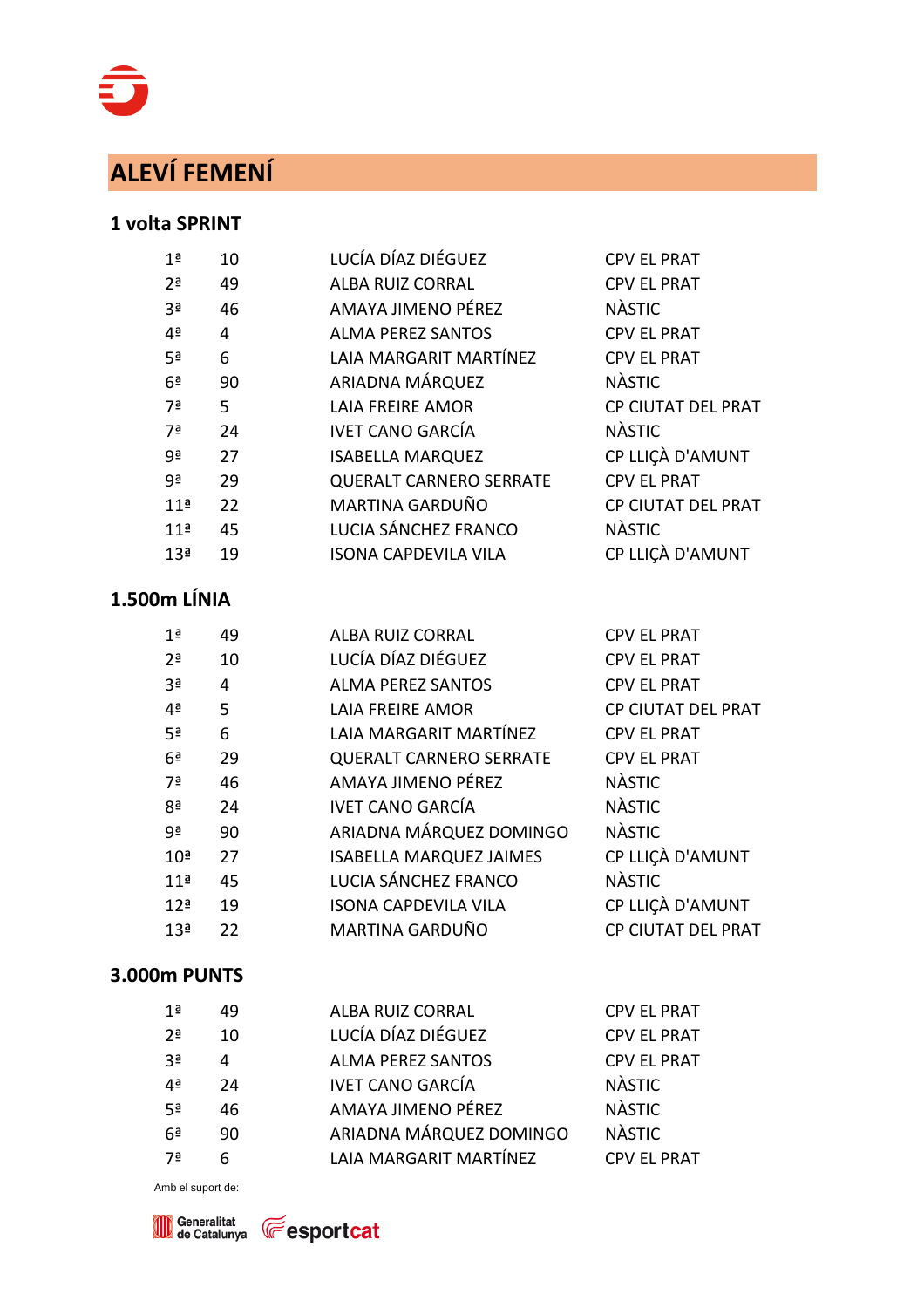# **ALEVÍ FEMENÍ**

#### **1 volta SPRINT**

| 1 <sup>a</sup><br>10  | LUCÍA DÍAZ DIÉGUEZ             | <b>CPV EL PRAT</b>        |
|-----------------------|--------------------------------|---------------------------|
| 2 <sup>a</sup><br>49  | <b>ALBA RUIZ CORRAL</b>        | <b>CPV EL PRAT</b>        |
| 3 <sup>a</sup><br>46  | AMAYA JIMENO PÉREZ             | <b>NÀSTIC</b>             |
| 4ª<br>4               | <b>ALMA PEREZ SANTOS</b>       | <b>CPV EL PRAT</b>        |
| 6<br>5 <sup>a</sup>   | LAIA MARGARIT MARTÍNEZ         | <b>CPV EL PRAT</b>        |
| 6 <sup>a</sup><br>90  | ARIADNA MÁRQUEZ                | <b>NÀSTIC</b>             |
| 7ª<br>5               | <b>LAIA FREIRE AMOR</b>        | CP CIUTAT DEL PRAT        |
| 7ª<br>24              | <b>IVET CANO GARCÍA</b>        | <b>NÀSTIC</b>             |
| 9ª<br>27              | <b>ISABELLA MARQUEZ</b>        | CP LLIÇÀ D'AMUNT          |
| 9ª<br>29              | <b>QUERALT CARNERO SERRATE</b> | <b>CPV EL PRAT</b>        |
| 22<br>11 <sup>a</sup> | MARTINA GARDUÑO                | <b>CP CIUTAT DEL PRAT</b> |
| 11 <sup>a</sup><br>45 | LUCIA SÁNCHEZ FRANCO           | <b>NÀSTIC</b>             |
| 13 <sup>a</sup><br>19 | <b>ISONA CAPDEVILA VILA</b>    | CP LLIÇÀ D'AMUNT          |

### **1.500m LÍNIA**

| 1 <sup>a</sup>  | 49 | <b>ALBA RUIZ CORRAL</b>        | <b>CPV EL PRAT</b>        |
|-----------------|----|--------------------------------|---------------------------|
| 2 <sup>a</sup>  | 10 | LUCÍA DÍAZ DIÉGUEZ             | <b>CPV EL PRAT</b>        |
| 3 <sup>a</sup>  | 4  | <b>ALMA PEREZ SANTOS</b>       | <b>CPV EL PRAT</b>        |
| 4 <sup>a</sup>  | 5  | <b>LAIA FREIRE AMOR</b>        | <b>CP CIUTAT DEL PRAT</b> |
| 5 <sup>a</sup>  | 6  | LAIA MARGARIT MARTÍNEZ         | <b>CPV EL PRAT</b>        |
| 6 <sup>a</sup>  | 29 | <b>QUERALT CARNERO SERRATE</b> | <b>CPV EL PRAT</b>        |
| 7ª              | 46 | AMAYA JIMENO PÉREZ             | <b>NÀSTIC</b>             |
| 8 <sup>a</sup>  | 24 | <b>IVET CANO GARCÍA</b>        | <b>NÀSTIC</b>             |
| 9ª              | 90 | ARIADNA MÁRQUEZ DOMINGO        | <b>NÀSTIC</b>             |
| 10 <sup>a</sup> | 27 | <b>ISABELLA MARQUEZ JAIMES</b> | CP LLIÇÀ D'AMUNT          |
| 11 <sup>a</sup> | 45 | LUCIA SÁNCHEZ FRANCO           | <b>NÀSTIC</b>             |
| 12 <sup>a</sup> | 19 | <b>ISONA CAPDEVILA VILA</b>    | CP LLIÇÀ D'AMUNT          |
| 13 <sup>a</sup> | 22 | MARTINA GARDUÑO                | <b>CP CIUTAT DEL PRAT</b> |
|                 |    |                                |                           |

#### **3.000m PUNTS**

| 1ª             | 49 | <b>ALBA RUIZ CORRAL</b>  | <b>CPV EL PRAT</b> |
|----------------|----|--------------------------|--------------------|
| 2 <sup>a</sup> | 10 | LUCÍA DÍAZ DIÉGUEZ       | <b>CPV EL PRAT</b> |
| 3ª             | 4  | <b>ALMA PEREZ SANTOS</b> | <b>CPV EL PRAT</b> |
| 4ª             | 24 | <b>IVET CANO GARCÍA</b>  | <b>NÀSTIC</b>      |
| 5ª             | 46 | AMAYA JIMENO PÉREZ       | <b>NÀSTIC</b>      |
| 6ª             | 90 | ARIADNA MÁRQUEZ DOMINGO  | <b>NÀSTIC</b>      |
| 7а             | 6  | LAIA MARGARIT MARTÍNEZ   | <b>CPV EL PRAT</b> |
|                |    |                          |                    |



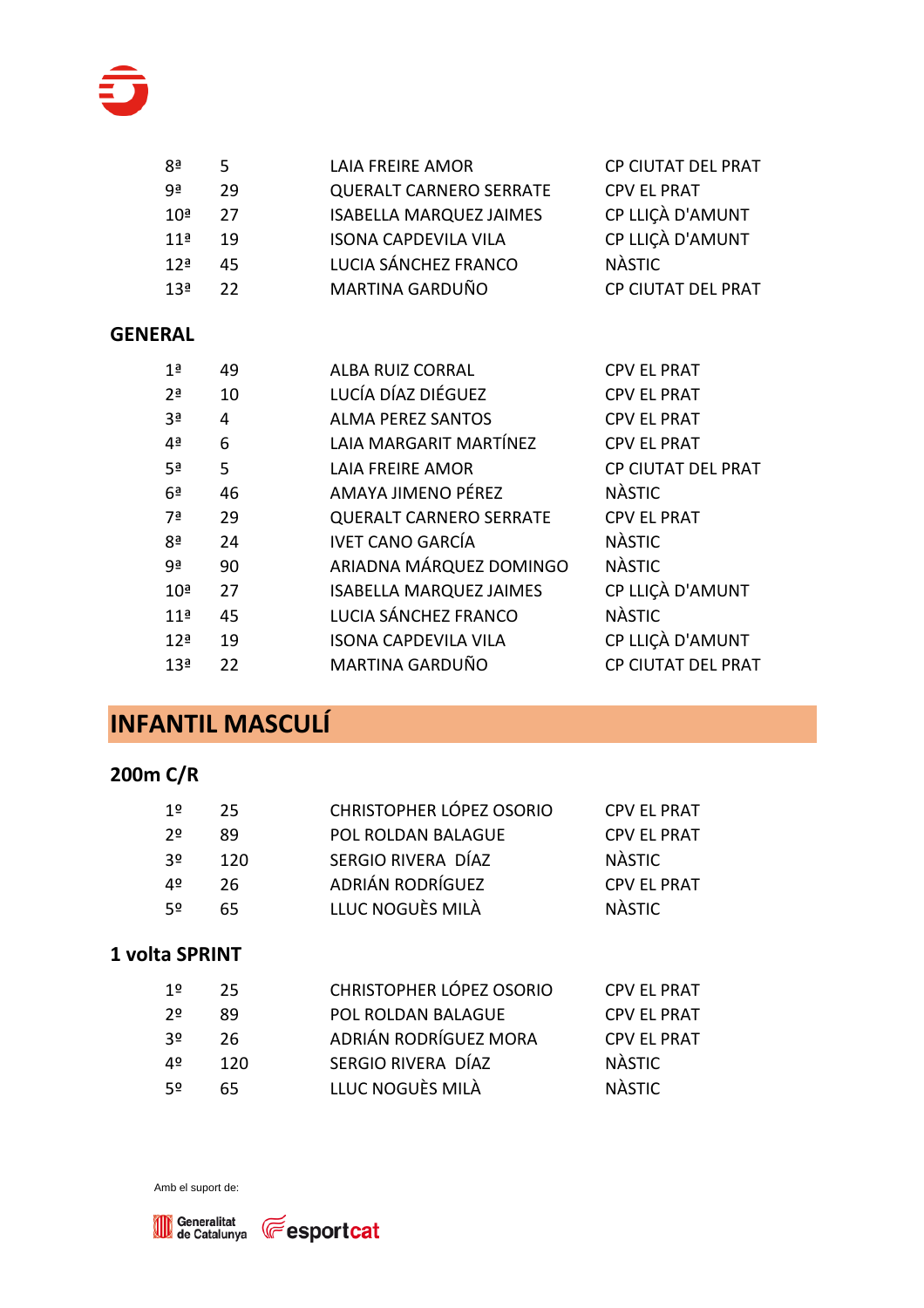

| 8ª              | 5. | LAIA FREIRE AMOR               | <b>CP CIUTAT DEL PRAT</b> |
|-----------------|----|--------------------------------|---------------------------|
| ο₫              | 29 | <b>QUERALT CARNERO SERRATE</b> | <b>CPV EL PRAT</b>        |
| 10 <sup>a</sup> | 27 | <b>ISABELLA MARQUEZ JAIMES</b> | CP LLIÇÀ D'AMUNT          |
| 11 <sup>a</sup> | 19 | <b>ISONA CAPDEVILA VILA</b>    | CP LLIÇÀ D'AMUNT          |
| 12 <sup>a</sup> | 45 | LUCIA SÁNCHEZ FRANCO           | <b>NÀSTIC</b>             |
| 13 <sup>a</sup> | 22 | MARTINA GARDUÑO                | CP CIUTAT DEL PRAT        |
|                 |    |                                |                           |

#### **GENERAL**

| 49 | <b>ALBA RUIZ CORRAL</b>        | <b>CPV EL PRAT</b>        |
|----|--------------------------------|---------------------------|
| 10 | LUCÍA DÍAZ DIÉGUEZ             | <b>CPV EL PRAT</b>        |
| 4  | <b>ALMA PEREZ SANTOS</b>       | <b>CPV EL PRAT</b>        |
| 6  | LAIA MARGARIT MARTÍNEZ         | <b>CPV EL PRAT</b>        |
| 5  | <b>LAIA FREIRE AMOR</b>        | CP CIUTAT DEL PRAT        |
| 46 | AMAYA JIMENO PÉREZ             | <b>NÀSTIC</b>             |
| 29 | <b>QUERALT CARNERO SERRATE</b> | <b>CPV EL PRAT</b>        |
| 24 | <b>IVET CANO GARCÍA</b>        | <b>NÀSTIC</b>             |
| 90 | ARIADNA MÁRQUEZ DOMINGO        | <b>NÀSTIC</b>             |
| 27 | <b>ISABELLA MARQUEZ JAIMES</b> | CP LLIÇÀ D'AMUNT          |
| 45 | LUCIA SÁNCHEZ FRANCO           | <b>NÀSTIC</b>             |
| 19 | <b>ISONA CAPDEVILA VILA</b>    | CP LLIÇÀ D'AMUNT          |
| 22 | MARTINA GARDUÑO                | <b>CP CIUTAT DEL PRAT</b> |
|    |                                |                           |

### **INFANTIL MASCULÍ**

### **200m C/R**

| 1º | 25. | <b>CHRISTOPHER LÓPEZ OSORIO</b> | <b>CPV EL PRAT</b> |
|----|-----|---------------------------------|--------------------|
| 2≗ | 89  | POL ROLDAN BALAGUE              | <b>CPV EL PRAT</b> |
| 3º | 120 | SERGIO RIVERA DÍAZ              | <b>NÀSTIC</b>      |
| 4º | 26  | ADRIÁN RODRÍGUEZ                | <b>CPV EL PRAT</b> |
| 52 | 65. | LLUC NOGUÈS MILÀ                | <b>NÀSTIC</b>      |
|    |     |                                 |                    |

#### **1 volta SPRINT**

| 1º  | - 25. | <b>CHRISTOPHER LÓPEZ OSORIO</b> | <b>CPV EL PRAT</b> |
|-----|-------|---------------------------------|--------------------|
| 2≗  | 89    | POL ROLDAN BALAGUE              | <b>CPV EL PRAT</b> |
| -30 | 26.   | ADRIÁN RODRÍGUEZ MORA           | <b>CPV EL PRAT</b> |
| 4º  | 120   | SERGIO RIVERA DÍAZ              | <b>NÀSTIC</b>      |
| -52 | 65.   | LLUC NOGUÈS MILÀ                | <b>NÀSTIC</b>      |

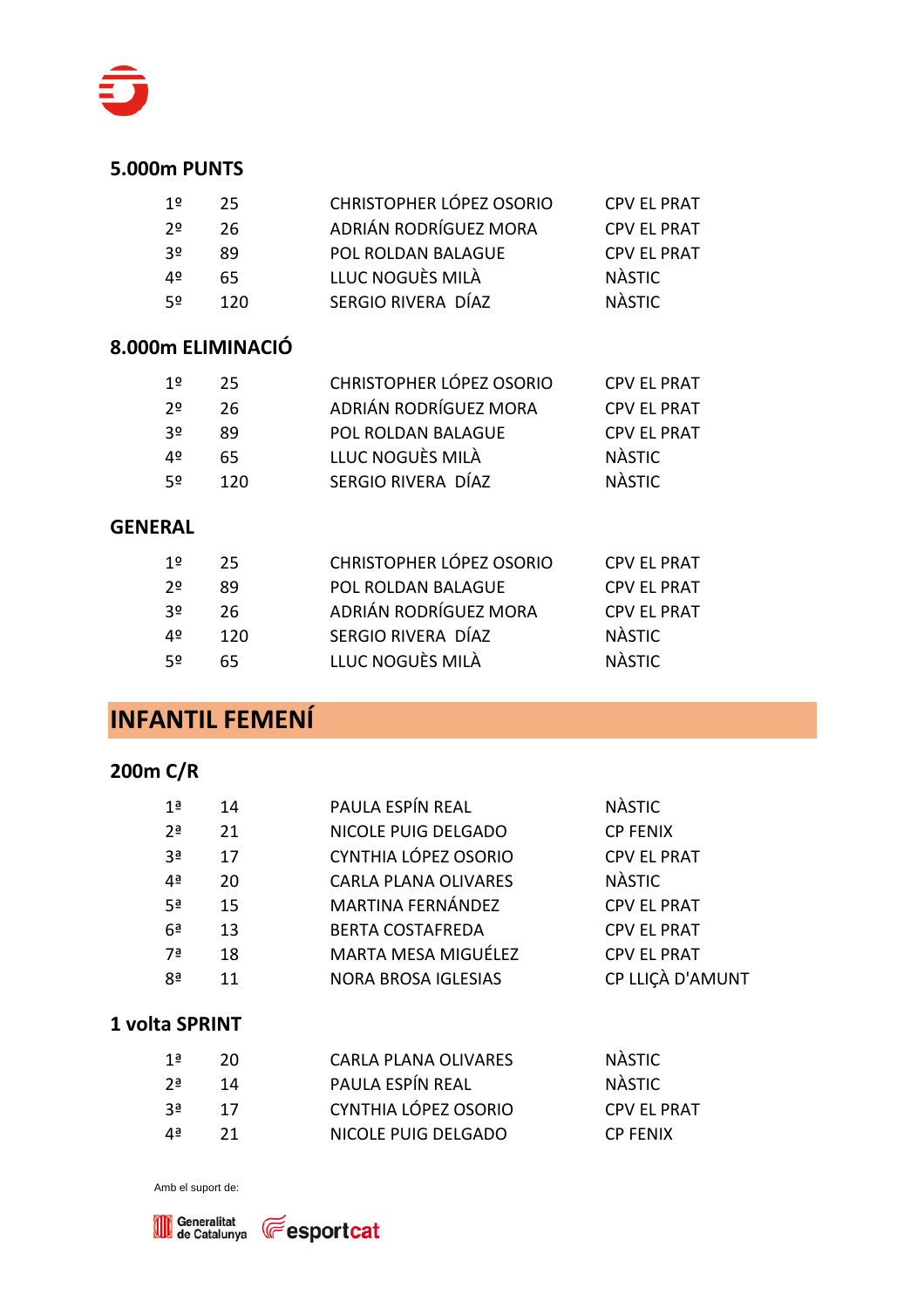

| 1≌ | 25. | CHRISTOPHER LÓPEZ OSORIO | <b>CPV EL PRAT</b> |
|----|-----|--------------------------|--------------------|
| 20 | 26  | ADRIÁN RODRÍGUEZ MORA    | <b>CPV EL PRAT</b> |
| 30 | 89  | POL ROLDAN BALAGUE       | <b>CPV EL PRAT</b> |
| 4º | 65. | LLUC NOGUÈS MILÀ         | <b>NÀSTIC</b>      |
| 52 | 120 | SERGIO RIVERA DÍAZ       | <b>NÀSTIC</b>      |

#### **8.000m ELIMINACIÓ**

| 1º | -25. | CHRISTOPHER LÓPEZ OSORIO | <b>CPV EL PRAT</b> |
|----|------|--------------------------|--------------------|
| 2≗ | 26.  | ADRIÁN RODRÍGUEZ MORA    | <b>CPV EL PRAT</b> |
| 3º | 89   | POL ROLDAN BALAGUE       | <b>CPV EL PRAT</b> |
| 4º | 65.  | LLUC NOGUÈS MILÀ         | <b>NÀSTIC</b>      |
| 52 | 120  | SERGIO RIVERA DÍAZ       | <b>NÀSTIC</b>      |

#### **GENERAL**

| 1º             | -25. | CHRISTOPHER LÓPEZ OSORIO | <b>CPV EL PRAT</b> |
|----------------|------|--------------------------|--------------------|
| 2 <sup>o</sup> | 89   | POL ROLDAN BALAGUE       | <b>CPV EL PRAT</b> |
| -30            | -26. | ADRIÁN RODRÍGUEZ MORA    | <b>CPV EL PRAT</b> |
| 40             | 120  | SERGIO RIVERA DÍAZ       | NÀSTIC             |
| 52             | 65.  | LLUC NOGUÈS MILÀ         | <b>NÀSTIC</b>      |

### **INFANTIL FEMENÍ**

#### **200m C/R**

| 1ª             | 14 | PAULA ESPÍN REAL            | <b>NÀSTIC</b>      |
|----------------|----|-----------------------------|--------------------|
| 2 <sup>a</sup> | 21 | NICOLE PUIG DELGADO         | <b>CP FENIX</b>    |
| 3ª             | 17 | CYNTHIA LÓPEZ OSORIO        | <b>CPV EL PRAT</b> |
| 4 <sup>a</sup> | 20 | <b>CARLA PLANA OLIVARES</b> | <b>NÀSTIC</b>      |
| 5 <sup>a</sup> | 15 | <b>MARTINA FERNÁNDEZ</b>    | <b>CPV EL PRAT</b> |
| 6 <sup>a</sup> | 13 | <b>BERTA COSTAFREDA</b>     | <b>CPV EL PRAT</b> |
| 7ª             | 18 | MARTA MESA MIGUÉLEZ         | <b>CPV EL PRAT</b> |
| 8ª             | 11 | <b>NORA BROSA IGLESIAS</b>  | CP LLIÇÀ D'AMUNT   |
|                |    |                             |                    |

#### **1 volta SPRINT**

| 1ª    | 20 | <b>CARLA PLANA OLIVARES</b> | <b>NÀSTIC</b>      |
|-------|----|-----------------------------|--------------------|
| י 2ים | 14 | PAULA ESPÍN REAL            | <b>NÀSTIC</b>      |
| - ?ª  | 17 | CYNTHIA LÓPEZ OSORIO        | <b>CPV EL PRAT</b> |
| ⊿а    | 21 | NICOLE PUIG DELGADO         | <b>CP FENIX</b>    |



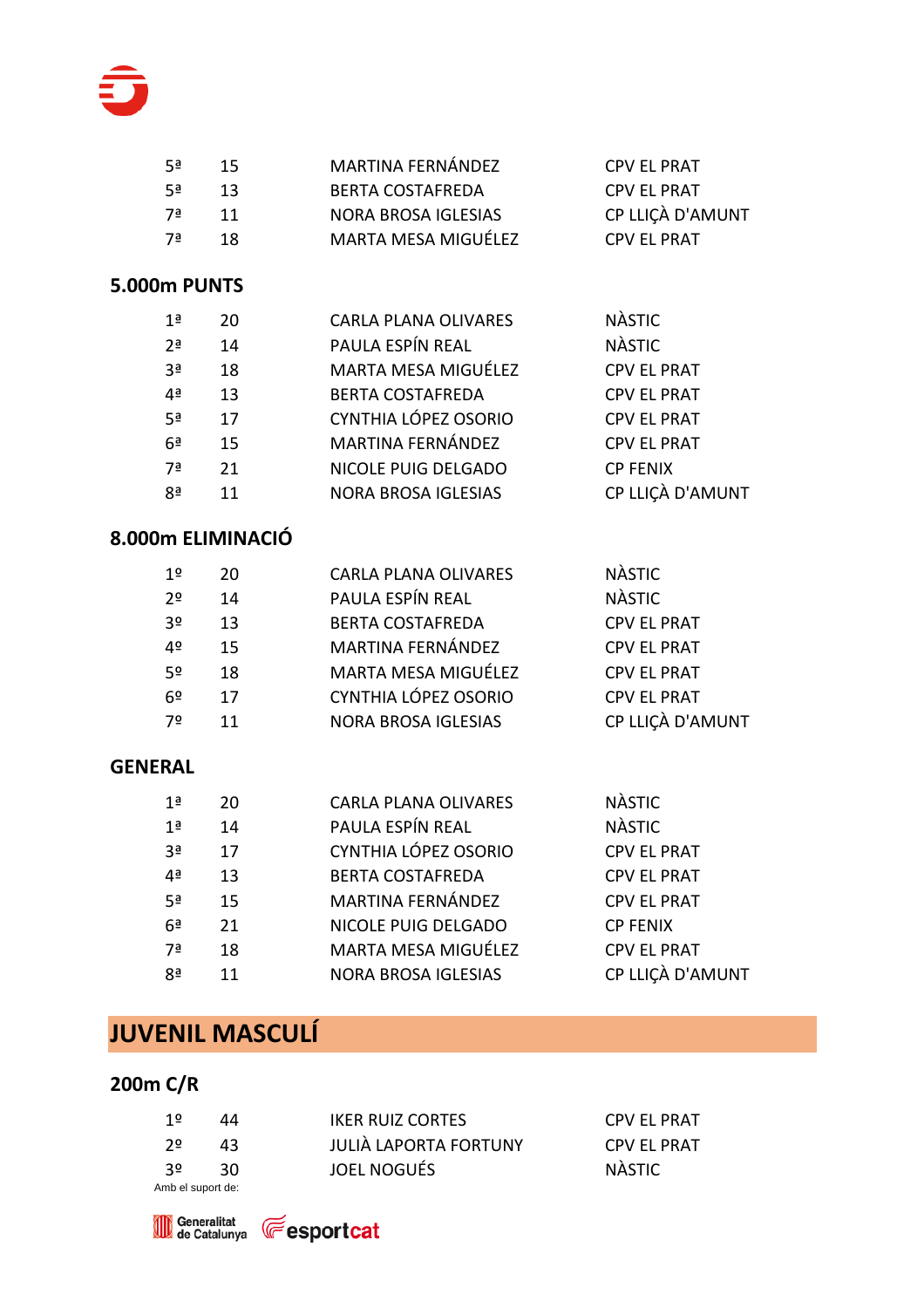

| –5ª | 15 | MARTINA FERNÁNDEZ          | <b>CPV EL PRAT</b> |
|-----|----|----------------------------|--------------------|
| 5ª  | 13 | <b>BERTA COSTAFREDA</b>    | <b>CPV EL PRAT</b> |
| –7ª | 11 | <b>NORA BROSA IGLESIAS</b> | CP LLICÀ D'AMUNT   |
| ∃7  | 18 | MARTA MESA MIGUÉLEZ        | <b>CPV EL PRAT</b> |
|     |    |                            |                    |

| 1 <sup>a</sup> | 20 | <b>CARLA PLANA OLIVARES</b> | <b>NÀSTIC</b>      |
|----------------|----|-----------------------------|--------------------|
| 2 <sup>a</sup> | 14 | PAULA ESPÍN REAL            | <b>NÀSTIC</b>      |
| 3 <sup>a</sup> | 18 | MARTA MESA MIGUÉLEZ         | <b>CPV EL PRAT</b> |
| 4 <sup>a</sup> | 13 | <b>BERTA COSTAFREDA</b>     | <b>CPV EL PRAT</b> |
| 5 <sup>a</sup> | 17 | CYNTHIA LÓPEZ OSORIO        | <b>CPV EL PRAT</b> |
| 6 <sup>a</sup> | 15 | <b>MARTINA FERNÁNDEZ</b>    | <b>CPV EL PRAT</b> |
| 7 <sup>a</sup> | 21 | NICOLE PUIG DELGADO         | <b>CP FENIX</b>    |
| 8 <sup>a</sup> | 11 | <b>NORA BROSA IGLESIAS</b>  | CP LLIÇÀ D'AMUNT   |
|                |    |                             |                    |

#### **8.000m ELIMINACIÓ**

| 1 <sup>o</sup> | 20 | <b>CARLA PLANA OLIVARES</b> | <b>NASTIC</b>      |
|----------------|----|-----------------------------|--------------------|
| 2 <sup>o</sup> | 14 | PAULA ESPÍN REAL            | <b>NÀSTIC</b>      |
| 3 <sup>o</sup> | 13 | <b>BERTA COSTAFREDA</b>     | <b>CPV EL PRAT</b> |
| 4º             | 15 | MARTINA FERNÁNDEZ           | <b>CPV EL PRAT</b> |
| 5 <sup>o</sup> | 18 | MARTA MESA MIGUÉLEZ         | <b>CPV EL PRAT</b> |
| 6 <sup>°</sup> | 17 | CYNTHIA LÓPEZ OSORIO        | <b>CPV EL PRAT</b> |
| 7º             | 11 | <b>NORA BROSA IGLESIAS</b>  | CP LLIÇÀ D'AMUNT   |

#### **GENERAL**

| 1 <sup>a</sup> | 20 | <b>CARLA PLANA OLIVARES</b> | <b>NÀSTIC</b>      |
|----------------|----|-----------------------------|--------------------|
| 1 <sup>a</sup> | 14 | PAULA ESPÍN REAL            | <b>NÀSTIC</b>      |
| 3 <sup>a</sup> | 17 | CYNTHIA LÓPEZ OSORIO        | <b>CPV EL PRAT</b> |
| 4 <sup>a</sup> | 13 | <b>BERTA COSTAFREDA</b>     | <b>CPV EL PRAT</b> |
| 5ª             | 15 | <b>MARTINA FERNÁNDEZ</b>    | <b>CPV EL PRAT</b> |
| 6 <sup>a</sup> | 21 | NICOLE PUIG DELGADO         | <b>CP FENIX</b>    |
| 7ª             | 18 | MARTA MESA MIGUÉLEZ         | <b>CPV EL PRAT</b> |
| 8ª             | 11 | <b>NORA BROSA IGLESIAS</b>  | CP LLIÇÀ D'AMUNT   |

### **JUVENIL MASCULÍ**

### **200m C/R**

| 1≌                | 44   | <b>IKER RUIZ CORTES</b> | <b>CPV EL PRAT</b> |
|-------------------|------|-------------------------|--------------------|
| י ≙י              | 43   | JULIÀ LAPORTA FORTUNY   | <b>CPV EL PRAT</b> |
| -30               | -30. | JOEL NOGUÉS             | NÀSTIC             |
| Amb el suport de: |      |                         |                    |



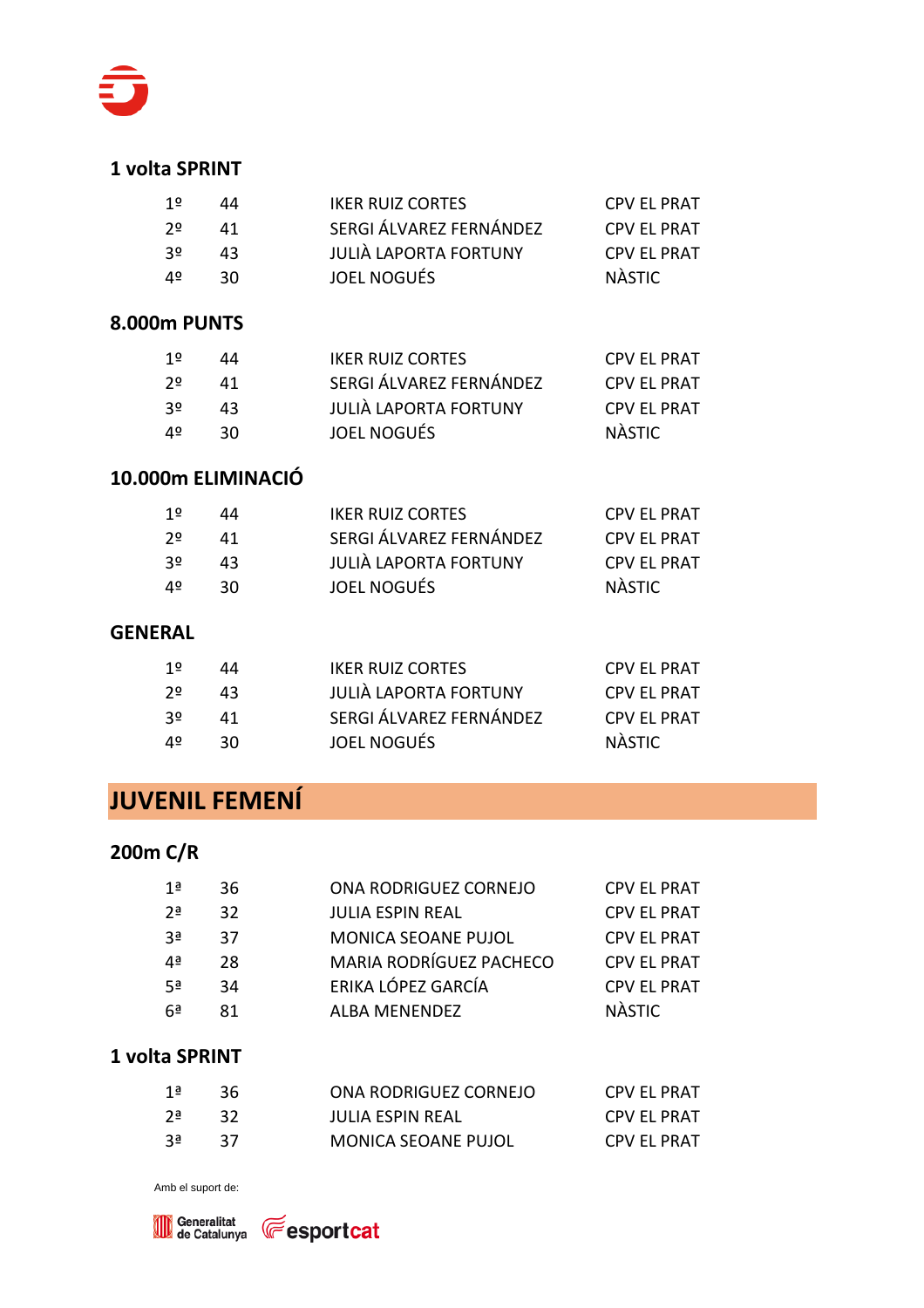

#### **1 volta SPRINT**

| 1≗ | 44  | <b>IKER RUIZ CORTES</b>      | <b>CPV EL PRAT</b> |
|----|-----|------------------------------|--------------------|
| 2≗ | 41  | SERGI ÁLVAREZ FERNÁNDEZ      | <b>CPV EL PRAT</b> |
| 3º | 43  | <b>JULIÀ LAPORTA FORTUNY</b> | <b>CPV EL PRAT</b> |
| 4º | 30. | <b>JOEL NOGUÉS</b>           | NÀSTIC             |
|    |     |                              |                    |

#### **8.000m PUNTS**

| 1º | 44  | <b>IKER RUIZ CORTES</b>      | <b>CPV EL PRAT</b> |
|----|-----|------------------------------|--------------------|
| 2≗ | 41  | SERGI ÁLVAREZ FERNÁNDEZ      | <b>CPV EL PRAT</b> |
| 3º | 43. | <b>JULIÀ LAPORTA FORTUNY</b> | <b>CPV EL PRAT</b> |
| 4º | 30. | <b>JOEL NOGUÉS</b>           | NÀSTIC             |

#### **10.000m ELIMINACIÓ**

| 1≌  | 44  | <b>IKER RUIZ CORTES</b> | <b>CPV EL PRAT</b> |
|-----|-----|-------------------------|--------------------|
| 2≗  | 41  | SERGI ÁLVAREZ FERNÁNDEZ | <b>CPV EL PRAT</b> |
| -30 | 43. | JULIÀ LAPORTA FORTUNY   | <b>CPV EL PRAT</b> |
| 4º  | 30. | <b>JOEL NOGUÉS</b>      | NÀSTIC             |

#### **GENERAL**

| 12  | 44  | <b>IKER RUIZ CORTES</b>      | <b>CPV EL PRAT</b> |
|-----|-----|------------------------------|--------------------|
| 2≗  | 43. | <b>JULIÀ LAPORTA FORTUNY</b> | <b>CPV EL PRAT</b> |
| -35 | 41  | SERGI ÁLVAREZ FERNÁNDEZ      | <b>CPV EL PRAT</b> |
| 4º  | 30. | JOEL NOGUÉS                  | NÀSTIC             |

### **JUVENIL FEMENÍ**

### **200m C/R**

| 1ª         | 36. | ONA RODRIGUEZ CORNEJO      | <b>CPV EL PRAT</b> |
|------------|-----|----------------------------|--------------------|
| <u> 25</u> | 32. | <b>JULIA ESPIN REAL</b>    | <b>CPV EL PRAT</b> |
| 3ª         | 37  | <b>MONICA SEOANE PUJOL</b> | <b>CPV EL PRAT</b> |
| ⊿а         | 28  | MARIA RODRÍGUEZ PACHECO    | <b>CPV EL PRAT</b> |
| 5ª         | 34  | ERIKA LÓPEZ GARCÍA         | <b>CPV EL PRAT</b> |
| 6ª         | 81  | <b>ALBA MENENDEZ</b>       | <b>NÀSTIC</b>      |

#### **1 volta SPRINT**

| 1ª       | - 36 | ONA RODRIGUEZ CORNEJO      | <b>CPV EL PRAT</b> |
|----------|------|----------------------------|--------------------|
| י 2ַ     | - 32 | <b>JULIA ESPIN REAL</b>    | <b>CPV EL PRAT</b> |
| <b>3</b> | - 37 | <b>MONICA SEOANE PUJOL</b> | <b>CPV EL PRAT</b> |

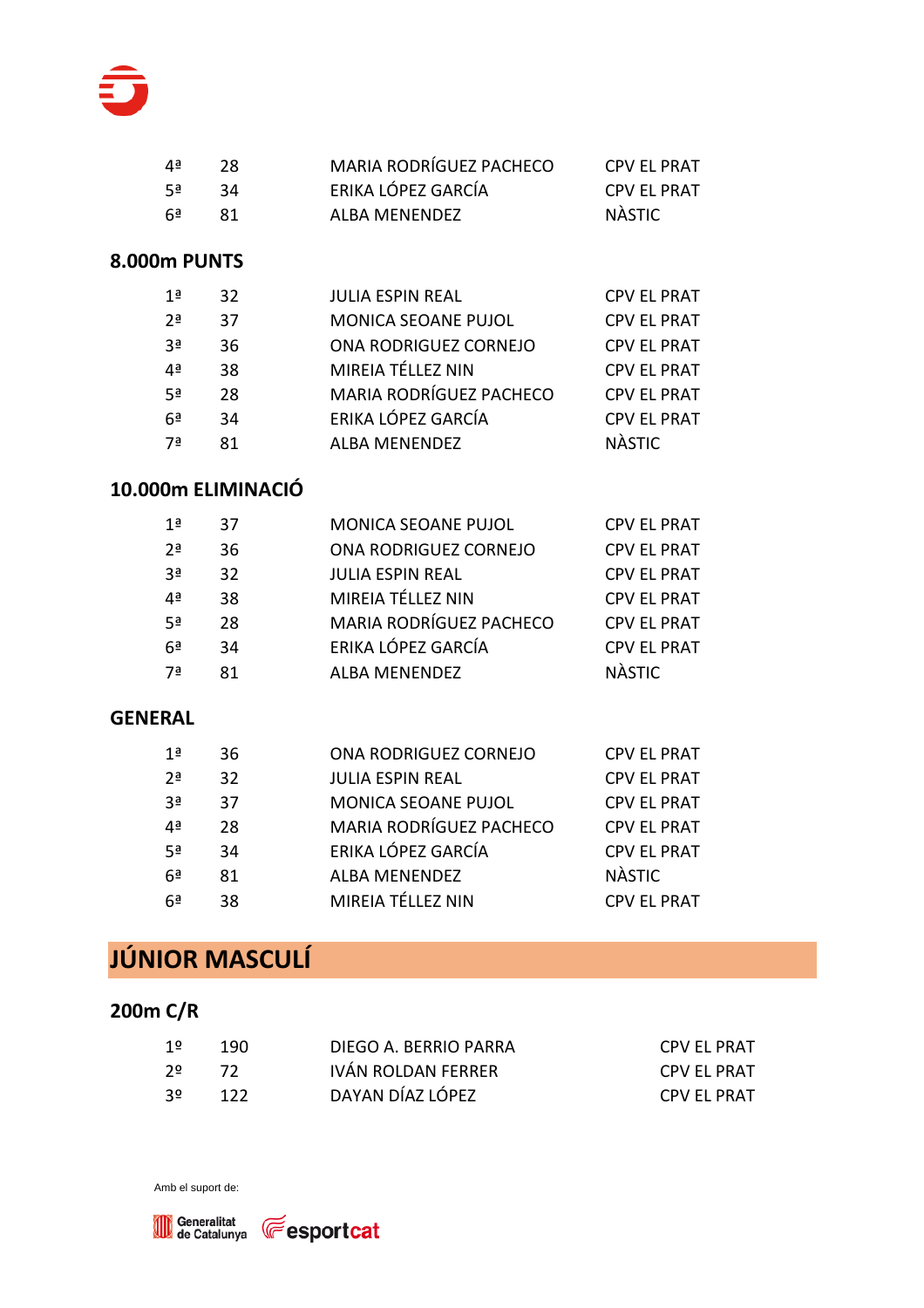

| 4ª   | -28. | MARIA RODRÍGUEZ PACHECO | <b>CPV EL PRAT</b> |
|------|------|-------------------------|--------------------|
| 5ª   | -34  | ERIKA LÓPEZ GARCÍA      | <b>CPV EL PRAT</b> |
| ∩ Ga | -81  | ALBA MENENDEZ           | NÀSTIC             |

| 1ª             | 32 | <b>JULIA ESPIN REAL</b>        | <b>CPV EL PRAT</b> |
|----------------|----|--------------------------------|--------------------|
| 2 <sup>a</sup> | 37 | MONICA SEOANE PUJOL            | <b>CPV EL PRAT</b> |
| ٩a             | 36 | ONA RODRIGUEZ CORNEJO          | <b>CPV EL PRAT</b> |
| 4ª             | 38 | MIREIA TÉLLEZ NIN              | <b>CPV EL PRAT</b> |
| 5ª             | 28 | <b>MARIA RODRÍGUEZ PACHECO</b> | <b>CPV EL PRAT</b> |
| 6 <sup>a</sup> | 34 | ERIKA LÓPEZ GARCÍA             | <b>CPV EL PRAT</b> |
| 7ª             | 81 | <b>ALBA MENENDEZ</b>           | <b>NÀSTIC</b>      |

#### **10.000m ELIMINACIÓ**

| 1ª        | 37 | MONICA SEOANE PUJOL     | <b>CPV EL PRAT</b> |
|-----------|----|-------------------------|--------------------|
| <u>2a</u> | 36 | ONA RODRIGUEZ CORNEJO   | <b>CPV EL PRAT</b> |
| 3ª        | 32 | <b>JULIA ESPIN REAL</b> | <b>CPV EL PRAT</b> |
| 4ª        | 38 | MIREIA TÉLLEZ NIN       | <b>CPV EL PRAT</b> |
| 5ª        | 28 | MARIA RODRÍGUEZ PACHECO | <b>CPV EL PRAT</b> |
| 6ª        | 34 | ERIKA LÓPEZ GARCÍA      | <b>CPV EL PRAT</b> |
| 7ª        | 81 | <b>ALBA MENENDEZ</b>    | <b>NÀSTIC</b>      |

#### **GENERAL**

| 1ª             | 36 | ONA RODRIGUEZ CORNEJO   | <b>CPV EL PRAT</b> |
|----------------|----|-------------------------|--------------------|
| 2 <sup>a</sup> | 32 | <b>JULIA ESPIN REAL</b> | <b>CPV EL PRAT</b> |
| 3ª             | 37 | MONICA SEOANE PUJOL     | <b>CPV EL PRAT</b> |
| 4ª             | 28 | MARIA RODRÍGUEZ PACHECO | <b>CPV EL PRAT</b> |
| 5ª             | 34 | ERIKA LÓPEZ GARCÍA      | <b>CPV EL PRAT</b> |
| 6 <sup>a</sup> | 81 | <b>ALBA MENENDEZ</b>    | <b>NASTIC</b>      |
| 6ª             | 38 | MIREIA TÉLLEZ NIN       | <b>CPV EL PRAT</b> |

# **JÚNIOR MASCULÍ**

#### **200m C/R**

| 1º   | - 190 | DIEGO A. BERRIO PARRA | CPV EL PRAT |
|------|-------|-----------------------|-------------|
| _ 2ס | 72    | IVÁN ROLDAN FERRER    | CPV EL PRAT |
| - 30 | 122   | DAYAN DÍAZ LÓPEZ      | CPV EL PRAT |

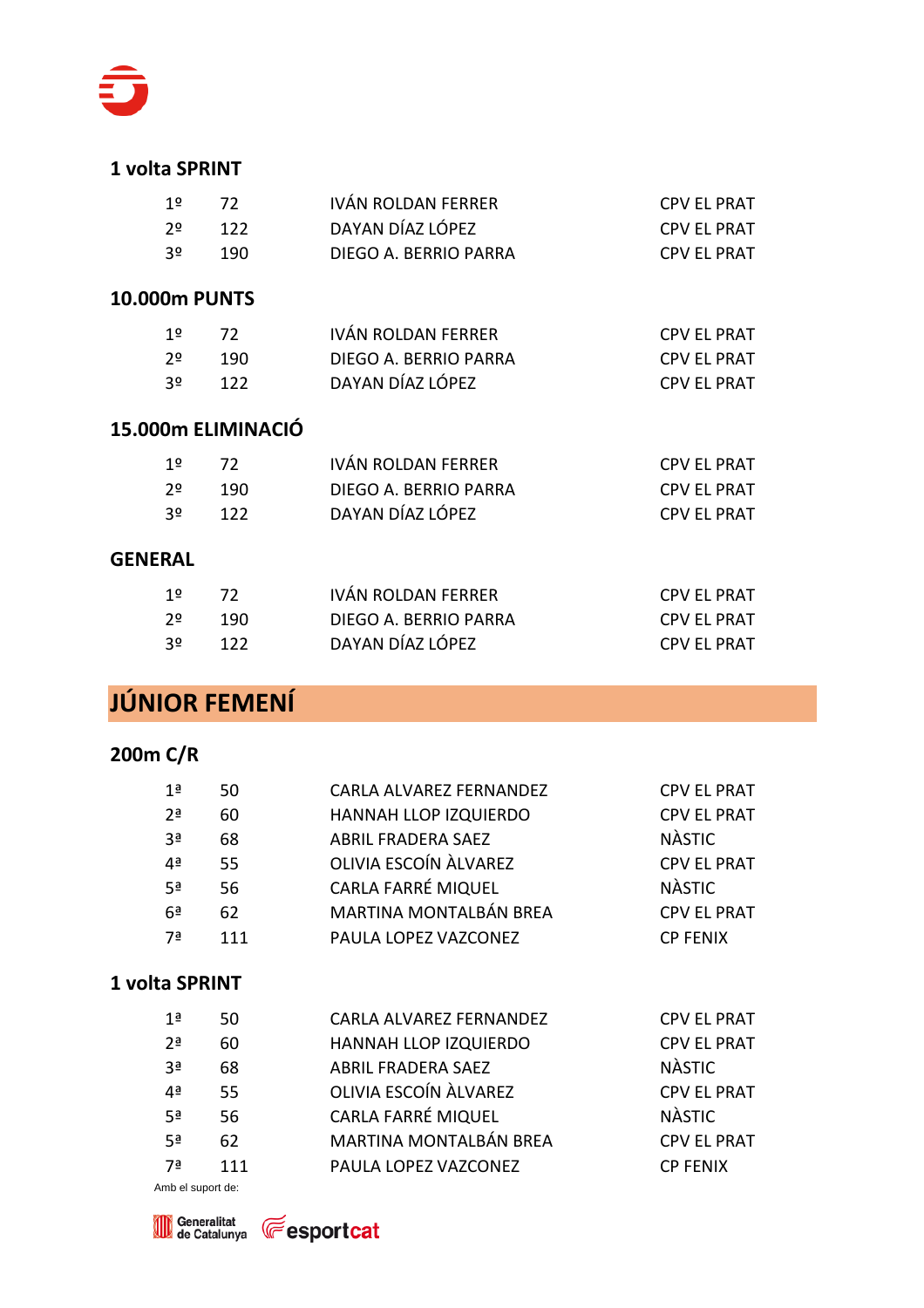

#### **1 volta SPRINT**

| 1º   | - 72 | IVÁN ROLDAN FERRER    | <b>CPV EL PRAT</b> |
|------|------|-----------------------|--------------------|
| _ 2ס | 122  | DAYAN DÍAZ LÓPEZ      | <b>CPV EL PRAT</b> |
| -30  | -190 | DIEGO A. BERRIO PARRA | <b>CPV EL PRAT</b> |

#### **10.000m PUNTS**

| 1º   | 72   | IVÁN ROLDAN FERRER    | <b>CPV EL PRAT</b> |
|------|------|-----------------------|--------------------|
| 2≗   | -190 | DIEGO A. BERRIO PARRA | <b>CPV EL PRAT</b> |
| - 30 | -122 | DAYAN DÍAZ LÓPEZ      | <b>CPV EL PRAT</b> |

#### **15.000m ELIMINACIÓ**

| 1 º | - 72 | IVÁN ROLDAN FERRER    | CPV EL PRAT        |
|-----|------|-----------------------|--------------------|
| 2º  | 190. | DIEGO A. BERRIO PARRA | CPV EL PRAT        |
| -30 | 122  | DAYAN DÍAZ LÓPEZ      | <b>CPV EL PRAT</b> |

#### **GENERAL**

| 1º  | - 72   | IVÁN ROLDAN FERRER    | CPV EL PRAT |
|-----|--------|-----------------------|-------------|
| _2ס | - 190- | DIEGO A. BERRIO PARRA | CPV EL PRAT |
| -30 | 122    | DAYAN DÍAZ LÓPEZ      | CPV EL PRAT |

### **JÚNIOR FEMENÍ**

#### **200m C/R**

| 1ª             | 50  | CARLA ALVAREZ FERNANDEZ   | <b>CPV EL PRAT</b> |
|----------------|-----|---------------------------|--------------------|
| 2 <sup>a</sup> | 60  | HANNAH LLOP IZQUIERDO     | <b>CPV EL PRAT</b> |
| 3 <sup>a</sup> | 68  | <b>ABRIL FRADERA SAEZ</b> | <b>NÀSTIC</b>      |
| 4ª             | 55  | OLIVIA ESCOÍN ÀLVAREZ     | <b>CPV EL PRAT</b> |
| 5ª             | 56  | CARLA FARRÉ MIQUEL        | <b>NÀSTIC</b>      |
| 6ª             | 62  | MARTINA MONTALBÁN BREA    | <b>CPV EL PRAT</b> |
| 7ª             | 111 | PAULA LOPEZ VAZCONEZ      | <b>CP FENIX</b>    |
|                |     |                           |                    |

#### **1 volta SPRINT**

| 1ª             | 50  | CARLA ALVAREZ FERNANDEZ   | <b>CPV EL PRAT</b> |
|----------------|-----|---------------------------|--------------------|
| 2 <sup>a</sup> | 60  | HANNAH LLOP IZQUIERDO     | <b>CPV EL PRAT</b> |
| 3 <sup>a</sup> | 68  | <b>ABRIL FRADERA SAEZ</b> | <b>NÀSTIC</b>      |
| 4ª             | 55  | OLIVIA ESCOÍN ÀLVAREZ     | <b>CPV EL PRAT</b> |
| 5ª             | 56  | CARLA FARRÉ MIQUEL        | <b>NÀSTIC</b>      |
| 5ª             | 62  | MARTINA MONTALBÁN BREA    | <b>CPV EL PRAT</b> |
| 7ª             | 111 | PAULA LOPEZ VAZCONEZ      | <b>CP FENIX</b>    |
|                |     |                           |                    |



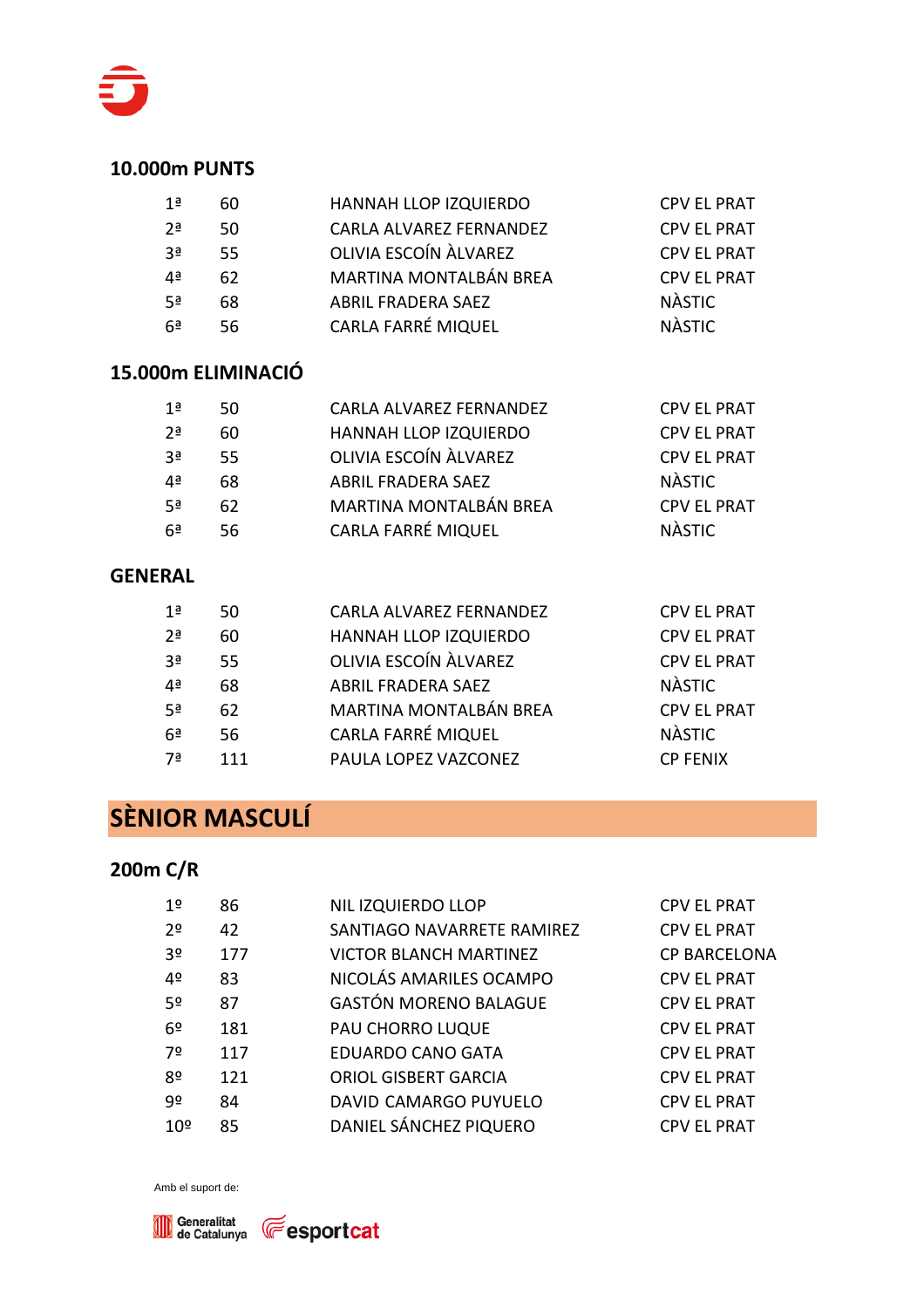

| 1ª             | 60  | HANNAH LLOP IZQUIERDO         | <b>CPV EL PRAT</b> |
|----------------|-----|-------------------------------|--------------------|
| 2 <sup>a</sup> | 50  | CARLA ALVAREZ FERNANDEZ       | <b>CPV EL PRAT</b> |
| 3ª             | -55 | OLIVIA ESCOÍN ÀLVAREZ         | <b>CPV EL PRAT</b> |
| 4ª             | 62  | <b>MARTINA MONTALBÁN BREA</b> | <b>CPV EL PRAT</b> |
| 5ª             | 68  | <b>ABRIL FRADERA SAEZ</b>     | <b>NÀSTIC</b>      |
| 6ª             | 56  | <b>CARLA FARRÉ MIQUEL</b>     | <b>NÀSTIC</b>      |

#### **15.000m ELIMINACIÓ**

| 1 <sup>a</sup> | 50  | CARLA ALVAREZ FERNANDEZ       | <b>CPV EL PRAT</b> |
|----------------|-----|-------------------------------|--------------------|
| 2 <sup>a</sup> | 60  | HANNAH LLOP IZQUIERDO         | <b>CPV EL PRAT</b> |
| 3ª             | 55. | OLIVIA ESCOÍN ÀLVAREZ         | <b>CPV EL PRAT</b> |
| 4ª             | 68  | <b>ABRIL FRADERA SAEZ</b>     | <b>NÀSTIC</b>      |
| -5ª            | 62  | <b>MARTINA MONTALBÁN BREA</b> | <b>CPV EL PRAT</b> |
| .6ª            | 56  | <b>CARLA FARRÉ MIQUEL</b>     | <b>NÀSTIC</b>      |

#### **GENERAL**

| 1ª             | 50  | CARLA ALVAREZ FERNANDEZ   | <b>CPV EL PRAT</b> |
|----------------|-----|---------------------------|--------------------|
| 2 <sup>a</sup> | 60  | HANNAH LLOP IZQUIERDO     | <b>CPV EL PRAT</b> |
| Зā             | -55 | OLIVIA ESCOÍN ÀLVAREZ     | <b>CPV EL PRAT</b> |
| 4ª             | 68  | <b>ABRIL FRADERA SAEZ</b> | <b>NÀSTIC</b>      |
| 5ª             | 62  | MARTINA MONTALBÁN BREA    | <b>CPV EL PRAT</b> |
| 6ª             | 56  | CARLA FARRÉ MIQUEL        | <b>NÀSTIC</b>      |
| 7ª             | 111 | PAULA LOPEZ VAZCONEZ      | <b>CP FENIX</b>    |

# **SÈNIOR MASCULÍ**

#### **200m C/R**

| 1º              | 86  | NIL IZQUIERDO LLOP            | <b>CPV EL PRAT</b>  |
|-----------------|-----|-------------------------------|---------------------|
| 2 <sup>o</sup>  | 42  | SANTIAGO NAVARRETE RAMIREZ    | <b>CPV EL PRAT</b>  |
| 3 <sup>o</sup>  | 177 | <b>VICTOR BLANCH MARTINEZ</b> | <b>CP BARCELONA</b> |
| 4º              | 83  | NICOLÁS AMARILES OCAMPO       | <b>CPV EL PRAT</b>  |
| 5º              | 87  | <b>GASTÓN MORENO BALAGUE</b>  | <b>CPV EL PRAT</b>  |
| 6 <sup>o</sup>  | 181 | PAU CHORRO LUQUE              | <b>CPV EL PRAT</b>  |
| 7º              | 117 | <b>EDUARDO CANO GATA</b>      | <b>CPV EL PRAT</b>  |
| 8º              | 121 | <b>ORIOL GISBERT GARCIA</b>   | <b>CPV EL PRAT</b>  |
| q٥              | 84  | DAVID CAMARGO PUYUELO         | <b>CPV EL PRAT</b>  |
| 10 <sup>°</sup> | 85  | DANIEL SÁNCHEZ PIQUERO        | <b>CPV EL PRAT</b>  |

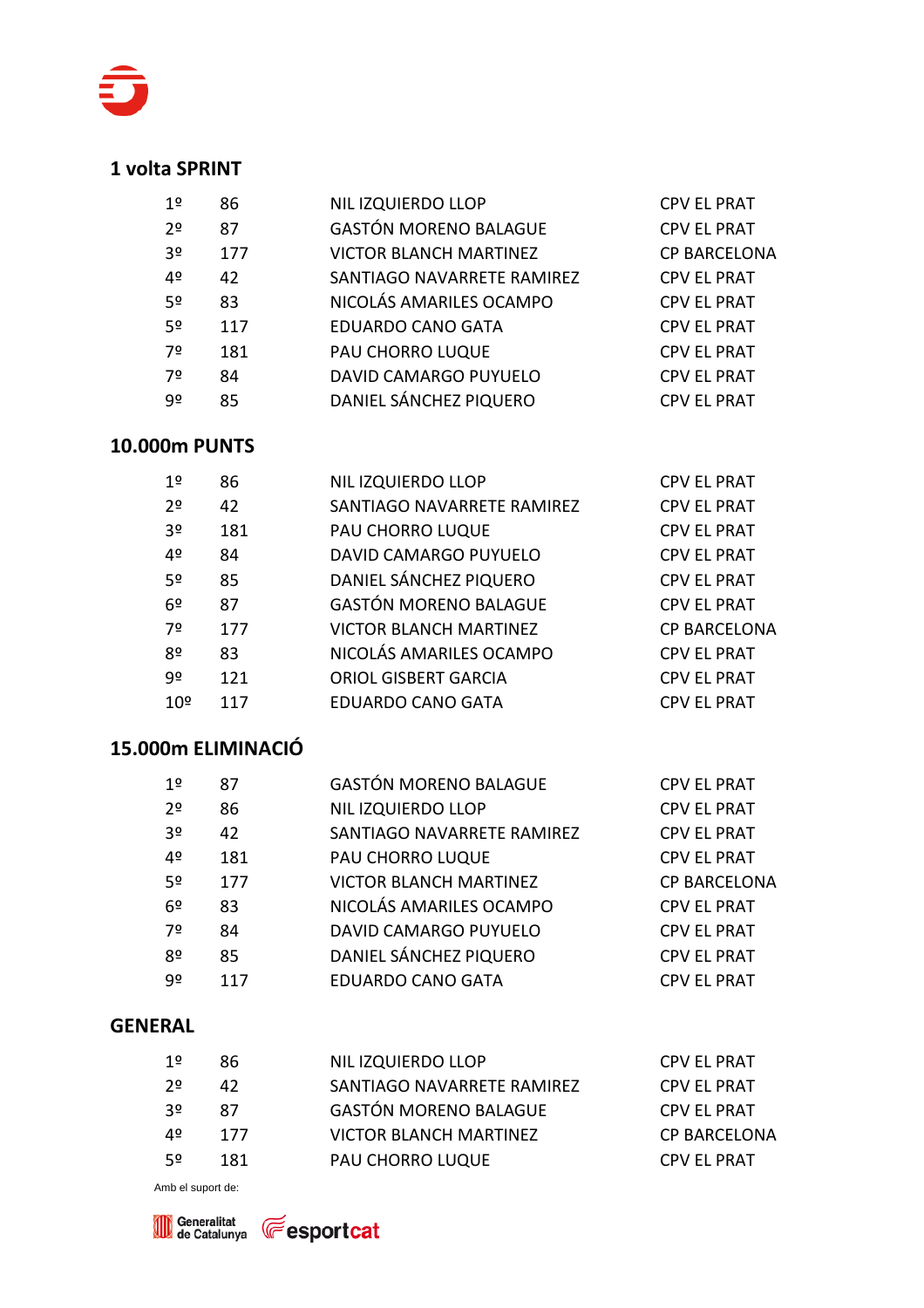

#### **1 volta SPRINT**

| 1º             | 86  | NIL IZQUIERDO LLOP            | <b>CPV EL PRAT</b>  |
|----------------|-----|-------------------------------|---------------------|
| 20             | 87  | <b>GASTÓN MORENO BALAGUE</b>  | <b>CPV EL PRAT</b>  |
| 3 <sup>o</sup> | 177 | <b>VICTOR BLANCH MARTINEZ</b> | <b>CP BARCELONA</b> |
| 4º             | 42  | SANTIAGO NAVARRETE RAMIREZ    | <b>CPV EL PRAT</b>  |
| 5º             | 83  | NICOLÁS AMARILES OCAMPO       | <b>CPV EL PRAT</b>  |
| 5º             | 117 | <b>EDUARDO CANO GATA</b>      | <b>CPV EL PRAT</b>  |
| 7º             | 181 | PAU CHORRO LUQUE              | <b>CPV EL PRAT</b>  |
| 7º             | 84  | DAVID CAMARGO PUYUELO         | <b>CPV EL PRAT</b>  |
| 9º             | 85  | DANIEL SÁNCHEZ PIQUERO        | <b>CPV EL PRAT</b>  |
|                |     |                               |                     |

#### **10.000m PUNTS**

| 1 <sup>°</sup>  | 86  | NIL IZQUIERDO LLOP            | <b>CPV EL PRAT</b>  |
|-----------------|-----|-------------------------------|---------------------|
| 2 <sup>o</sup>  | 42  | SANTIAGO NAVARRETE RAMIREZ    | <b>CPV EL PRAT</b>  |
| 3 <sup>o</sup>  | 181 | PAU CHORRO LUQUE              | <b>CPV EL PRAT</b>  |
| 4º              | 84  | DAVID CAMARGO PUYUELO         | <b>CPV EL PRAT</b>  |
| 5 <sup>o</sup>  | 85  | DANIEL SÁNCHEZ PIQUERO        | <b>CPV EL PRAT</b>  |
| 6 <sup>°</sup>  | 87  | <b>GASTÓN MORENO BALAGUE</b>  | <b>CPV EL PRAT</b>  |
| 7º              | 177 | <b>VICTOR BLANCH MARTINEZ</b> | <b>CP BARCELONA</b> |
| 8 <sup>°</sup>  | 83  | NICOLÁS AMARILES OCAMPO       | <b>CPV EL PRAT</b>  |
| 9º              | 121 | <b>ORIOL GISBERT GARCIA</b>   | <b>CPV EL PRAT</b>  |
| 10 <sup>°</sup> | 117 | <b>EDUARDO CANO GATA</b>      | <b>CPV EL PRAT</b>  |

#### **15.000m ELIMINACIÓ**

| 1º             | 87  | <b>GASTÓN MORENO BALAGUE</b>  | <b>CPV EL PRAT</b>  |
|----------------|-----|-------------------------------|---------------------|
| 2 <sup>o</sup> | 86  | <b>NIL IZQUIERDO LLOP</b>     | <b>CPV EL PRAT</b>  |
| 3 <sup>o</sup> | 42  | SANTIAGO NAVARRETE RAMIREZ    | <b>CPV EL PRAT</b>  |
| 4 <sup>o</sup> | 181 | PAU CHORRO LUQUE              | <b>CPV EL PRAT</b>  |
| 5 <sup>o</sup> | 177 | <b>VICTOR BLANCH MARTINEZ</b> | <b>CP BARCELONA</b> |
| 6 <sup>°</sup> | 83  | NICOLÁS AMARILES OCAMPO       | <b>CPV EL PRAT</b>  |
| 7º             | 84  | DAVID CAMARGO PUYUELO         | <b>CPV EL PRAT</b>  |
| 8º             | 85  | DANIEL SÁNCHEZ PIQUERO        | <b>CPV EL PRAT</b>  |
| 9º             | 117 | <b>EDUARDO CANO GATA</b>      | <b>CPV EL PRAT</b>  |
|                |     |                               |                     |

#### **GENERAL**

| 1º | 86  | NIL IZQUIERDO LLOP            | <b>CPV EL PRAT</b>  |
|----|-----|-------------------------------|---------------------|
| 20 | 42  | SANTIAGO NAVARRETE RAMIREZ    | <b>CPV EL PRAT</b>  |
| 30 | 87  | <b>GASTÓN MORENO BALAGUE</b>  | <b>CPV EL PRAT</b>  |
| 4º | 177 | <b>VICTOR BLANCH MARTINEZ</b> | <b>CP BARCELONA</b> |
| 50 | 181 | PAU CHORRO LUQUE              | <b>CPV EL PRAT</b>  |
|    |     |                               |                     |



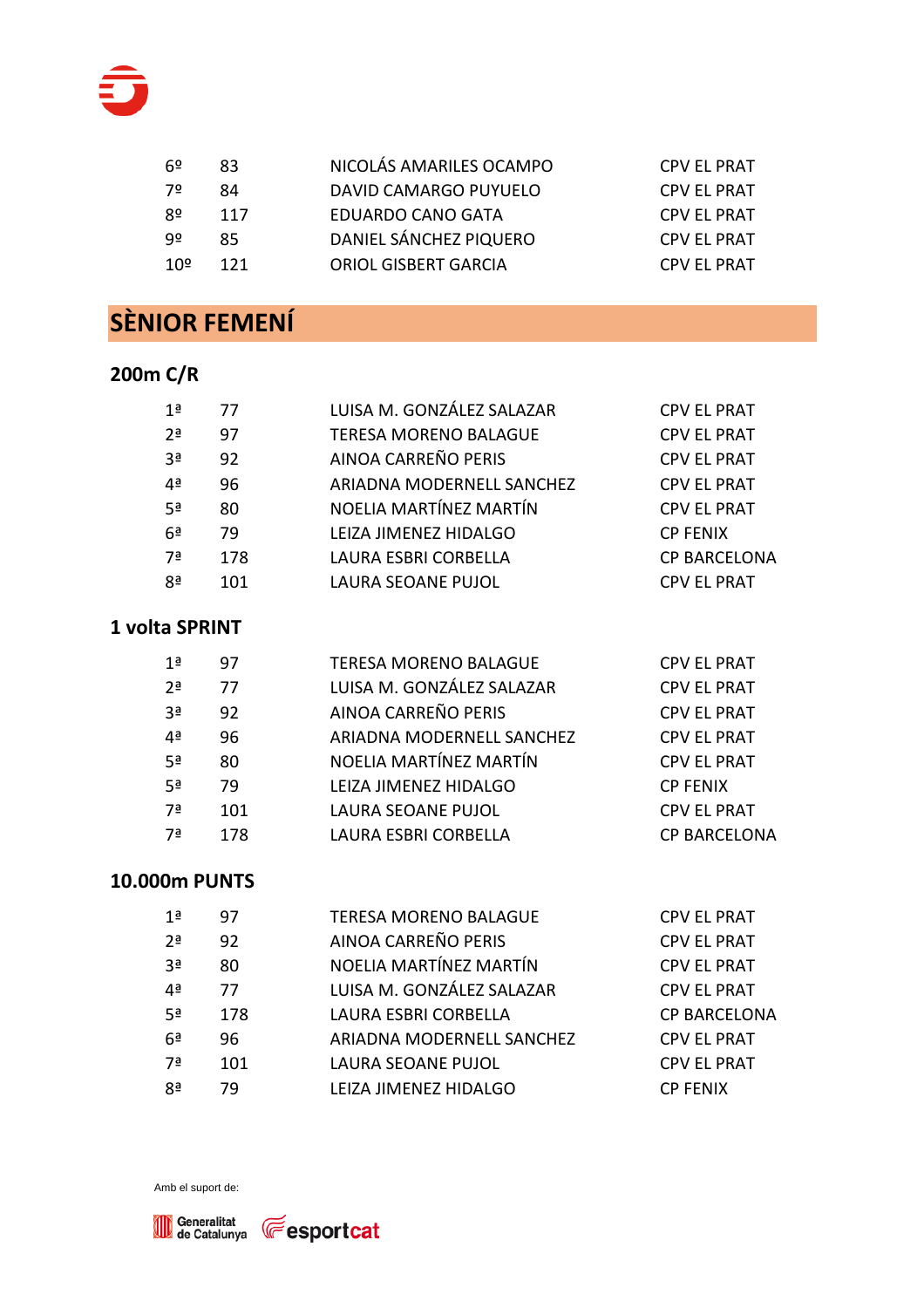

| .62 | 83  | NICOLÁS AMARILES OCAMPO     | <b>CPV EL PRAT</b> |
|-----|-----|-----------------------------|--------------------|
| -72 | 84  | DAVID CAMARGO PUYUELO       | <b>CPV EL PRAT</b> |
| 8º  | 117 | EDUARDO CANO GATA           | <b>CPV EL PRAT</b> |
| ٩º  | 85  | DANIEL SÁNCHEZ PIQUERO      | <b>CPV EL PRAT</b> |
| 10º | 121 | <b>ORIOL GISBERT GARCIA</b> | <b>CPV EL PRAT</b> |
|     |     |                             |                    |

# **SÈNIOR FEMENÍ**

### **200m C/R**

| 1ª             | 77  | LUISA M. GONZÁLEZ SALAZAR    | <b>CPV EL PRAT</b>  |
|----------------|-----|------------------------------|---------------------|
| 2 <sup>a</sup> | 97  | <b>TERESA MORENO BALAGUE</b> | <b>CPV EL PRAT</b>  |
| 3 <sup>a</sup> | 92  | AINOA CARREÑO PERIS          | <b>CPV EL PRAT</b>  |
| 4ª             | 96  | ARIADNA MODERNELL SANCHEZ    | <b>CPV EL PRAT</b>  |
| 5 <sup>a</sup> | 80  | NOELIA MARTÍNEZ MARTÍN       | <b>CPV EL PRAT</b>  |
| 6 <sup>a</sup> | 79  | LEIZA JIMENEZ HIDALGO        | <b>CP FENIX</b>     |
| 7ª             | 178 | LAURA ESBRI CORBELLA         | <b>CP BARCELONA</b> |
| 8ª             | 101 | <b>LAURA SEOANE PUJOL</b>    | <b>CPV EL PRAT</b>  |
|                |     |                              |                     |

#### **1 volta SPRINT**

| 1ª             | 97  | <b>TERESA MORENO BALAGUE</b> | <b>CPV EL PRAT</b>  |
|----------------|-----|------------------------------|---------------------|
| 2 <sup>a</sup> | 77  | LUISA M. GONZÁLEZ SALAZAR    | <b>CPV EL PRAT</b>  |
| 3 <sup>a</sup> | 92  | AINOA CARREÑO PERIS          | <b>CPV EL PRAT</b>  |
| 4ª             | 96  | ARIADNA MODERNELL SANCHEZ    | <b>CPV EL PRAT</b>  |
| 5ª             | 80  | NOELIA MARTÍNEZ MARTÍN       | <b>CPV EL PRAT</b>  |
| 5ª             | 79  | LEIZA JIMENEZ HIDALGO        | <b>CP FENIX</b>     |
| 7ª             | 101 | <b>LAURA SEOANE PUJOL</b>    | <b>CPV EL PRAT</b>  |
| 7ª             | 178 | LAURA ESBRI CORBELLA         | <b>CP BARCELONA</b> |
|                |     |                              |                     |

### **10.000m PUNTS**

| AINOA CARREÑO PERIS<br>2 <sup>a</sup><br><b>CPV EL PRAT</b><br>92<br>NOELIA MARTÍNEZ MARTÍN<br>3 <sup>a</sup><br><b>CPV EL PRAT</b><br>80<br>LUISA M. GONZÁLEZ SALAZAR<br><b>CPV EL PRAT</b><br>4ª<br>77<br>-5ª<br>LAURA ESBRI CORBELLA<br>178<br>6 <sup>a</sup><br>ARIADNA MODERNELL SANCHEZ<br><b>CPV EL PRAT</b><br>96<br>LAURA SEOANE PUJOL<br><b>CPV EL PRAT</b><br>7ª<br>101<br>8 <sup>a</sup><br>LEIZA JIMENEZ HIDALGO<br><b>CP FENIX</b><br>79 | 1 <sup>a</sup> | 97 | <b>TERESA MORENO BALAGUE</b> | <b>CPV EL PRAT</b>  |
|--------------------------------------------------------------------------------------------------------------------------------------------------------------------------------------------------------------------------------------------------------------------------------------------------------------------------------------------------------------------------------------------------------------------------------------------------------|----------------|----|------------------------------|---------------------|
|                                                                                                                                                                                                                                                                                                                                                                                                                                                        |                |    |                              |                     |
|                                                                                                                                                                                                                                                                                                                                                                                                                                                        |                |    |                              |                     |
|                                                                                                                                                                                                                                                                                                                                                                                                                                                        |                |    |                              |                     |
|                                                                                                                                                                                                                                                                                                                                                                                                                                                        |                |    |                              | <b>CP BARCELONA</b> |
|                                                                                                                                                                                                                                                                                                                                                                                                                                                        |                |    |                              |                     |
|                                                                                                                                                                                                                                                                                                                                                                                                                                                        |                |    |                              |                     |
|                                                                                                                                                                                                                                                                                                                                                                                                                                                        |                |    |                              |                     |

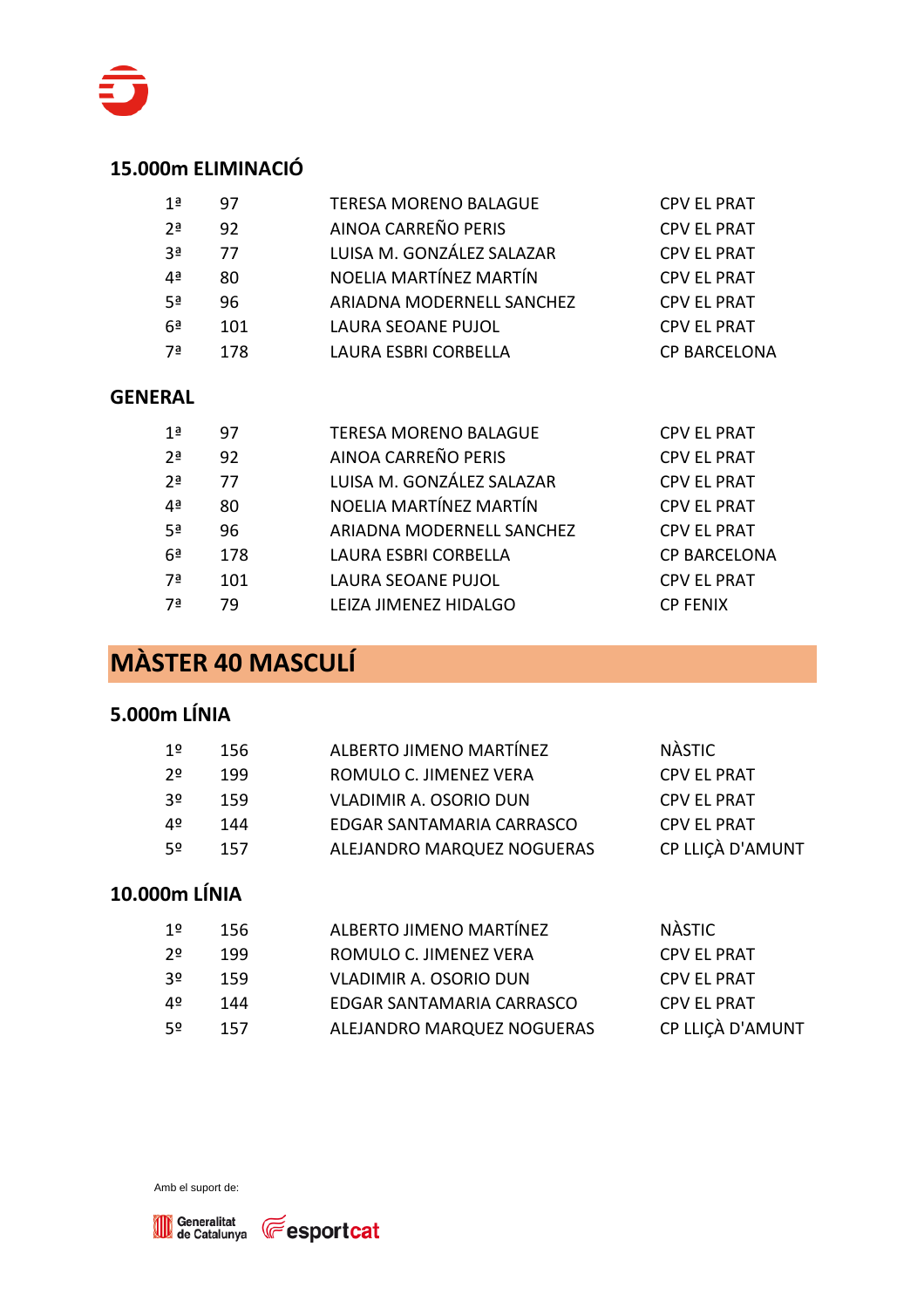

#### **15.000m ELIMINACIÓ**

| 1ª             | 97  | <b>TERESA MORENO BALAGUE</b> | <b>CPV EL PRAT</b>  |
|----------------|-----|------------------------------|---------------------|
| 2 <sup>a</sup> | 92  | AINOA CARREÑO PERIS          | <b>CPV EL PRAT</b>  |
| -3ª            | 77  | LUISA M. GONZÁLEZ SALAZAR    | <b>CPV EL PRAT</b>  |
| Дa             | 80  | NOELIA MARTÍNEZ MARTÍN       | <b>CPV EL PRAT</b>  |
| 5ª             | 96  | ARIADNA MODERNELL SANCHEZ    | <b>CPV EL PRAT</b>  |
| 6 <sup>a</sup> | 101 | <b>LAURA SEOANE PUJOL</b>    | <b>CPV EL PRAT</b>  |
| 7ª             | 178 | LAURA ESBRI CORBELLA         | <b>CP BARCELONA</b> |

#### **GENERAL**

| 1 <sup>a</sup> | 97  | <b>TERESA MORENO BALAGUE</b> | <b>CPV EL PRAT</b>  |
|----------------|-----|------------------------------|---------------------|
| 2 <sup>a</sup> | 92  | AINOA CARREÑO PERIS          | <b>CPV EL PRAT</b>  |
| 2 <sup>a</sup> | 77  | LUISA M. GONZÁLEZ SALAZAR    | <b>CPV EL PRAT</b>  |
| 4ª             | 80  | NOELIA MARTÍNEZ MARTÍN       | <b>CPV EL PRAT</b>  |
| 5 <sup>a</sup> | 96  | ARIADNA MODERNELL SANCHEZ    | <b>CPV EL PRAT</b>  |
| 6 <sup>a</sup> | 178 | LAURA ESBRI CORBELLA         | <b>CP BARCELONA</b> |
| 7а             | 101 | <b>LAURA SEOANE PUJOL</b>    | <b>CPV EL PRAT</b>  |
| 7ª             | 79  | LEIZA JIMENEZ HIDALGO        | <b>CP FENIX</b>     |

# **MÀSTER 40 MASCULÍ**

#### **5.000m LÍNIA**

| 1º             | 156 | ALBERTO JIMENO MARTÍNEZ       | NÀSTIC             |
|----------------|-----|-------------------------------|--------------------|
| 2 <sup>o</sup> | 199 | ROMULO C. JIMENEZ VERA        | <b>CPV EL PRAT</b> |
| 30             | 159 | <b>VLADIMIR A. OSORIO DUN</b> | <b>CPV EL PRAT</b> |
| 40             | 144 | EDGAR SANTAMARIA CARRASCO     | <b>CPV EL PRAT</b> |
| -52            | 157 | ALEJANDRO MARQUEZ NOGUERAS    | CP LLIÇÀ D'AMUNT   |
|                |     |                               |                    |

### **10.000m LÍNIA**

| 1º  | 156 | ALBERTO JIMENO MARTÍNEZ       | NÀSTIC             |
|-----|-----|-------------------------------|--------------------|
| 20  | 199 | ROMULO C. JIMENEZ VERA        | <b>CPV EL PRAT</b> |
| -30 | 159 | <b>VLADIMIR A. OSORIO DUN</b> | <b>CPV EL PRAT</b> |
| 4º  | 144 | EDGAR SANTAMARIA CARRASCO     | <b>CPV EL PRAT</b> |
| 50  | 157 | ALEJANDRO MARQUEZ NOGUERAS    | CP LLIÇÀ D'AMUNT   |

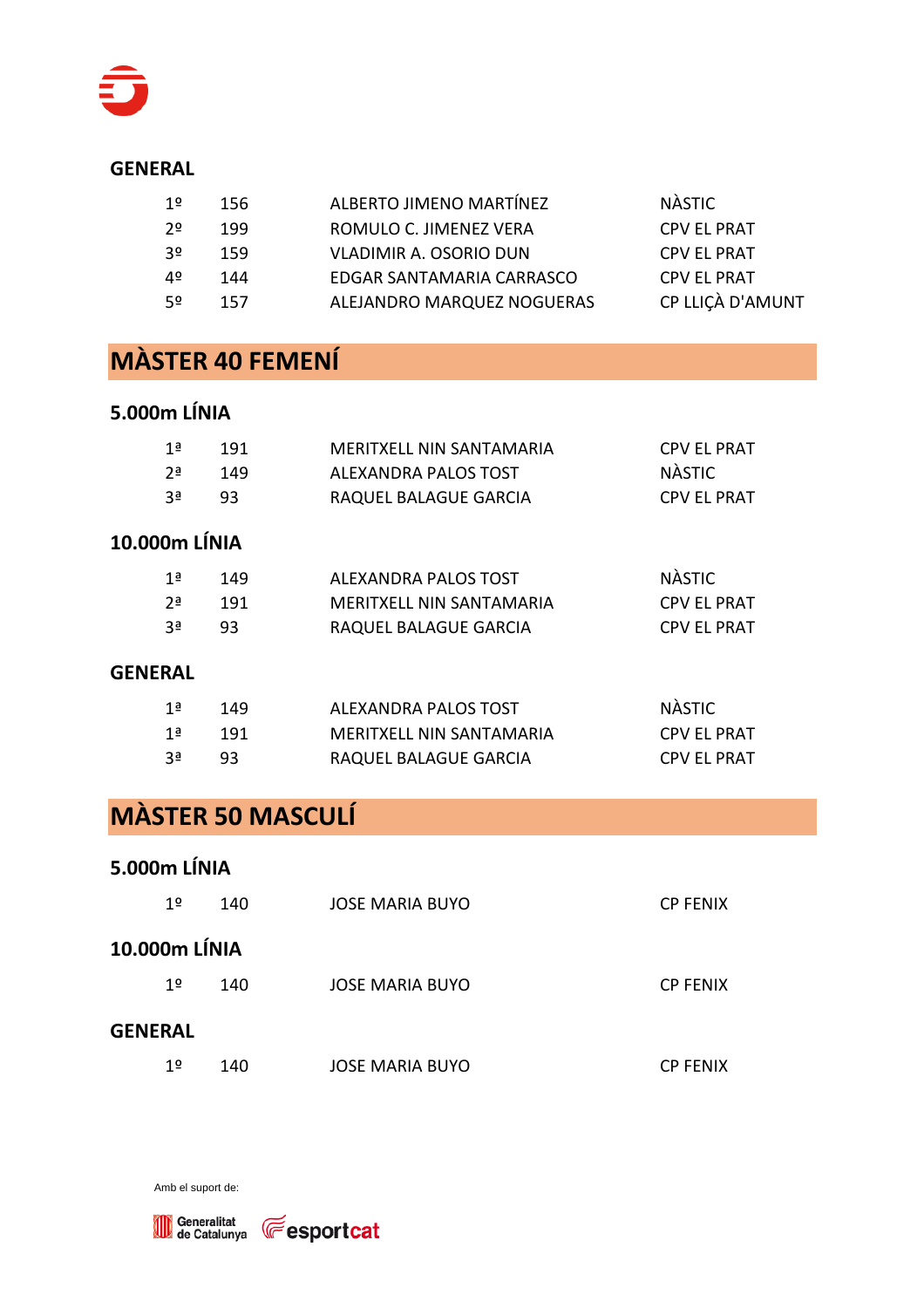

#### **GENERAL**

| ROMULO C. JIMENEZ VERA<br><b>CPV EL PRAT</b><br>20<br>199<br><b>VLADIMIR A. OSORIO DUN</b><br><b>CPV EL PRAT</b><br>3٥<br>159<br>EDGAR SANTAMARIA CARRASCO<br><b>CPV EL PRAT</b><br>4º<br>144<br>ALEJANDRO MARQUEZ NOGUERAS<br>52<br>157 | 1º | 156 | ALBERTO JIMENO MARTÍNEZ | <b>NÀSTIC</b>    |
|------------------------------------------------------------------------------------------------------------------------------------------------------------------------------------------------------------------------------------------|----|-----|-------------------------|------------------|
|                                                                                                                                                                                                                                          |    |     |                         |                  |
|                                                                                                                                                                                                                                          |    |     |                         |                  |
|                                                                                                                                                                                                                                          |    |     |                         |                  |
|                                                                                                                                                                                                                                          |    |     |                         | CP LLIÇÀ D'AMUNT |

## **MÀSTER 40 FEMENÍ**

#### **5.000m LÍNIA**

| ่ 1ª           | 191 | MERITXELL NIN SANTAMARIA | <b>CPV EL PRAT</b> |
|----------------|-----|--------------------------|--------------------|
| י 2ים          | 149 | ALEXANDRA PALOS TOST     | NÀSTIC             |
| 3 <sup>a</sup> | 93  | RAQUEL BALAGUE GARCIA    | <b>CPV EL PRAT</b> |

### **10.000m LÍNIA**

| 1ª    | 149   | ALEXANDRA PALOS TOST     | <b>NÀSTIC</b>      |
|-------|-------|--------------------------|--------------------|
| י 2≞  | - 191 | MERITXELL NIN SANTAMARIA | CPV EL PRAT        |
| ่ ?ุª | 93.   | RAQUEL BALAGUE GARCIA    | <b>CPV EL PRAT</b> |

#### **GENERAL**

| 1ª   | -149  | ALEXANDRA PALOS TOST     | NÀSTIC             |
|------|-------|--------------------------|--------------------|
| 1ª   | - 191 | MERITXELL NIN SANTAMARIA | <b>CPV EL PRAT</b> |
| ่ 39 | 93.   | RAQUEL BALAGUE GARCIA    | <b>CPV EL PRAT</b> |

# **MÀSTER 50 MASCULÍ**

#### **5.000m LÍNIA**

|                | 1 <sup>o</sup> | 140 | <b>JOSE MARIA BUYO</b> | <b>CP FENIX</b> |  |  |
|----------------|----------------|-----|------------------------|-----------------|--|--|
| 10.000m LÍNIA  |                |     |                        |                 |  |  |
|                | 1 <sup>o</sup> | 140 | JOSE MARIA BUYO        | <b>CP FENIX</b> |  |  |
| <b>GENERAL</b> |                |     |                        |                 |  |  |
|                | 1 <sup>o</sup> | 140 | <b>JOSE MARIA BUYO</b> | <b>CP FENIX</b> |  |  |